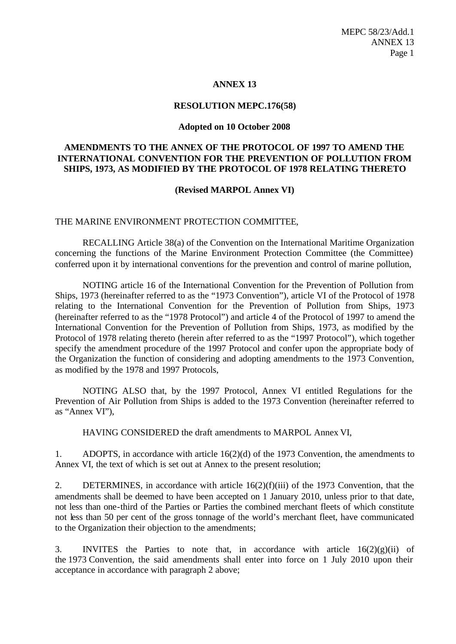#### **ANNEX 13**

#### **RESOLUTION MEPC.176(58)**

#### **Adopted on 10 October 2008**

## **AMENDMENTS TO THE ANNEX OF THE PROTOCOL OF 1997 TO AMEND THE INTERNATIONAL CONVENTION FOR THE PREVENTION OF POLLUTION FROM SHIPS, 1973, AS MODIFIED BY THE PROTOCOL OF 1978 RELATING THERETO**

#### **(Revised MARPOL Annex VI)**

THE MARINE ENVIRONMENT PROTECTION COMMITTEE,

RECALLING Article 38(a) of the Convention on the International Maritime Organization concerning the functions of the Marine Environment Protection Committee (the Committee) conferred upon it by international conventions for the prevention and control of marine pollution,

NOTING article 16 of the International Convention for the Prevention of Pollution from Ships, 1973 (hereinafter referred to as the "1973 Convention"), article VI of the Protocol of 1978 relating to the International Convention for the Prevention of Pollution from Ships, 1973 (hereinafter referred to as the "1978 Protocol") and article 4 of the Protocol of 1997 to amend the International Convention for the Prevention of Pollution from Ships, 1973, as modified by the Protocol of 1978 relating thereto (herein after referred to as the "1997 Protocol"), which together specify the amendment procedure of the 1997 Protocol and confer upon the appropriate body of the Organization the function of considering and adopting amendments to the 1973 Convention, as modified by the 1978 and 1997 Protocols,

NOTING ALSO that, by the 1997 Protocol, Annex VI entitled Regulations for the Prevention of Air Pollution from Ships is added to the 1973 Convention (hereinafter referred to as "Annex VI"),

HAVING CONSIDERED the draft amendments to MARPOL Annex VI,

1. ADOPTS, in accordance with article 16(2)(d) of the 1973 Convention, the amendments to Annex VI, the text of which is set out at Annex to the present resolution;

2. DETERMINES, in accordance with article 16(2)(f)(iii) of the 1973 Convention, that the amendments shall be deemed to have been accepted on 1 January 2010, unless prior to that date, not less than one-third of the Parties or Parties the combined merchant fleets of which constitute not less than 50 per cent of the gross tonnage of the world's merchant fleet, have communicated to the Organization their objection to the amendments;

3. INVITES the Parties to note that, in accordance with article  $16(2)(g)(ii)$  of the 1973 Convention, the said amendments shall enter into force on 1 July 2010 upon their acceptance in accordance with paragraph 2 above;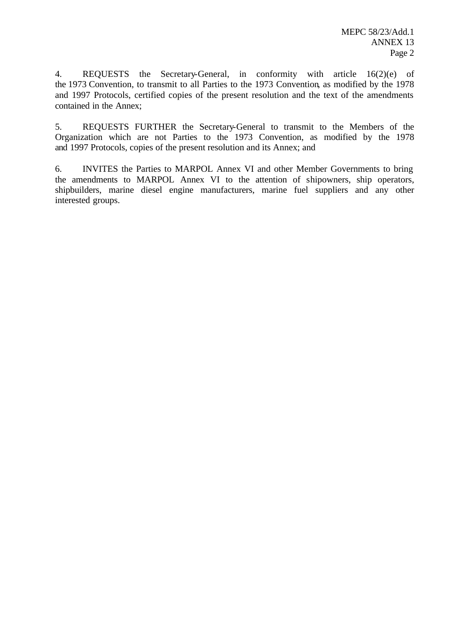4. REQUESTS the Secretary-General, in conformity with article 16(2)(e) of the 1973 Convention, to transmit to all Parties to the 1973 Convention, as modified by the 1978 and 1997 Protocols, certified copies of the present resolution and the text of the amendments contained in the Annex;

5. REQUESTS FURTHER the Secretary-General to transmit to the Members of the Organization which are not Parties to the 1973 Convention, as modified by the 1978 and 1997 Protocols, copies of the present resolution and its Annex; and

6. INVITES the Parties to MARPOL Annex VI and other Member Governments to bring the amendments to MARPOL Annex VI to the attention of shipowners, ship operators, shipbuilders, marine diesel engine manufacturers, marine fuel suppliers and any other interested groups.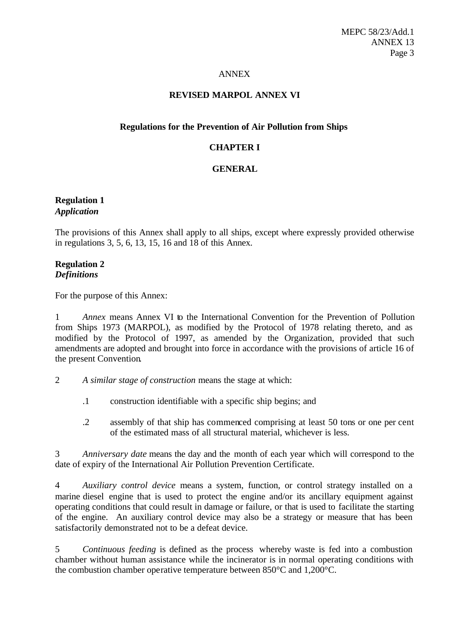#### ANNEX

## **REVISED MARPOL ANNEX VI**

#### **Regulations for the Prevention of Air Pollution from Ships**

## **CHAPTER I**

#### **GENERAL**

#### **Regulation 1** *Application*

The provisions of this Annex shall apply to all ships, except where expressly provided otherwise in regulations 3, 5, 6, 13, 15, 16 and 18 of this Annex.

#### **Regulation 2** *Definitions*

For the purpose of this Annex:

1 *Annex* means Annex VI to the International Convention for the Prevention of Pollution from Ships 1973 (MARPOL), as modified by the Protocol of 1978 relating thereto, and as modified by the Protocol of 1997, as amended by the Organization, provided that such amendments are adopted and brought into force in accordance with the provisions of article 16 of the present Convention.

2 *A similar stage of construction* means the stage at which:

- .1 construction identifiable with a specific ship begins; and
- .2 assembly of that ship has commenced comprising at least 50 tons or one per cent of the estimated mass of all structural material, whichever is less.

3 *Anniversary date* means the day and the month of each year which will correspond to the date of expiry of the International Air Pollution Prevention Certificate.

4 *Auxiliary control device* means a system, function, or control strategy installed on a marine diesel engine that is used to protect the engine and/or its ancillary equipment against operating conditions that could result in damage or failure, or that is used to facilitate the starting of the engine. An auxiliary control device may also be a strategy or measure that has been satisfactorily demonstrated not to be a defeat device.

5 *Continuous feeding* is defined as the process whereby waste is fed into a combustion chamber without human assistance while the incinerator is in normal operating conditions with the combustion chamber operative temperature between 850°C and 1,200°C.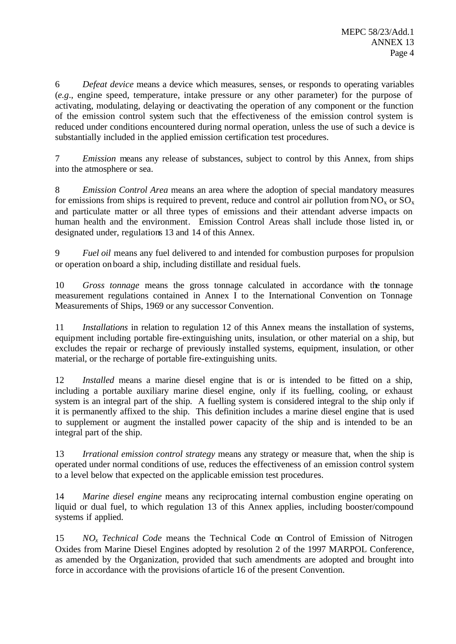6 *Defeat device* means a device which measures, senses, or responds to operating variables (*e.g*., engine speed, temperature, intake pressure or any other parameter) for the purpose of activating, modulating, delaying or deactivating the operation of any component or the function of the emission control system such that the effectiveness of the emission control system is reduced under conditions encountered during normal operation, unless the use of such a device is substantially included in the applied emission certification test procedures.

7 *Emission* means any release of substances, subject to control by this Annex, from ships into the atmosphere or sea.

8 *Emission Control Area* means an area where the adoption of special mandatory measures for emissions from ships is required to prevent, reduce and control air pollution from  $NO_x$  or  $SO_x$ and particulate matter or all three types of emissions and their attendant adverse impacts on human health and the environment. Emission Control Areas shall include those listed in, or designated under, regulations 13 and 14 of this Annex.

9 *Fuel oil* means any fuel delivered to and intended for combustion purposes for propulsion or operation on board a ship, including distillate and residual fuels.

10 *Gross tonnage* means the gross tonnage calculated in accordance with the tonnage measurement regulations contained in Annex I to the International Convention on Tonnage Measurements of Ships, 1969 or any successor Convention.

11 *Installations* in relation to regulation 12 of this Annex means the installation of systems, equipment including portable fire-extinguishing units, insulation, or other material on a ship, but excludes the repair or recharge of previously installed systems, equipment, insulation, or other material, or the recharge of portable fire-extinguishing units.

12 *Installed* means a marine diesel engine that is or is intended to be fitted on a ship, including a portable auxiliary marine diesel engine, only if its fuelling, cooling, or exhaust system is an integral part of the ship. A fuelling system is considered integral to the ship only if it is permanently affixed to the ship. This definition includes a marine diesel engine that is used to supplement or augment the installed power capacity of the ship and is intended to be an integral part of the ship.

13 *Irrational emission control strategy* means any strategy or measure that, when the ship is operated under normal conditions of use, reduces the effectiveness of an emission control system to a level below that expected on the applicable emission test procedures.

14 *Marine diesel engine* means any reciprocating internal combustion engine operating on liquid or dual fuel, to which regulation 13 of this Annex applies, including booster/compound systems if applied.

15 *NOx Technical Code* means the Technical Code on Control of Emission of Nitrogen Oxides from Marine Diesel Engines adopted by resolution 2 of the 1997 MARPOL Conference, as amended by the Organization, provided that such amendments are adopted and brought into force in accordance with the provisions of article 16 of the present Convention.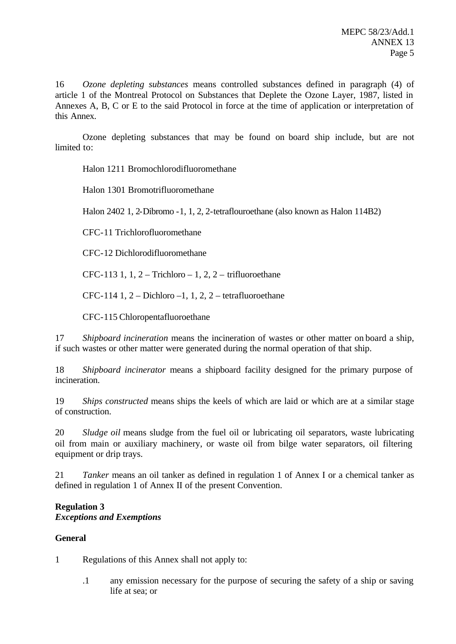16 *Ozone depleting substances* means controlled substances defined in paragraph (4) of article 1 of the Montreal Protocol on Substances that Deplete the Ozone Layer, 1987, listed in Annexes A, B, C or E to the said Protocol in force at the time of application or interpretation of this Annex.

Ozone depleting substances that may be found on board ship include, but are not limited to:

Halon 1211 Bromochlorodifluoromethane

Halon 1301 Bromotrifluoromethane

Halon 2402 1, 2-Dibromo -1, 1, 2, 2-tetraflouroethane (also known as Halon 114B2)

CFC-11 Trichlorofluoromethane

CFC-12 Dichlorodifluoromethane

CFC-113 1, 1, 2 – Trichloro – 1, 2, 2 – trifluoroethane

CFC-114 1,  $2 -$ Dichloro –1, 1, 2,  $2 -$  tetrafluoroethane

CFC-115 Chloropentafluoroethane

17 *Shipboard incineration* means the incineration of wastes or other matter on board a ship, if such wastes or other matter were generated during the normal operation of that ship.

18 *Shipboard incinerator* means a shipboard facility designed for the primary purpose of incineration.

19 *Ships constructed* means ships the keels of which are laid or which are at a similar stage of construction.

20 *Sludge oil* means sludge from the fuel oil or lubricating oil separators, waste lubricating oil from main or auxiliary machinery, or waste oil from bilge water separators, oil filtering equipment or drip trays.

21 *Tanker* means an oil tanker as defined in regulation 1 of Annex I or a chemical tanker as defined in regulation 1 of Annex II of the present Convention.

#### **Regulation 3**

#### *Exceptions and Exemptions*

#### **General**

1 Regulations of this Annex shall not apply to:

.1 any emission necessary for the purpose of securing the safety of a ship or saving life at sea; or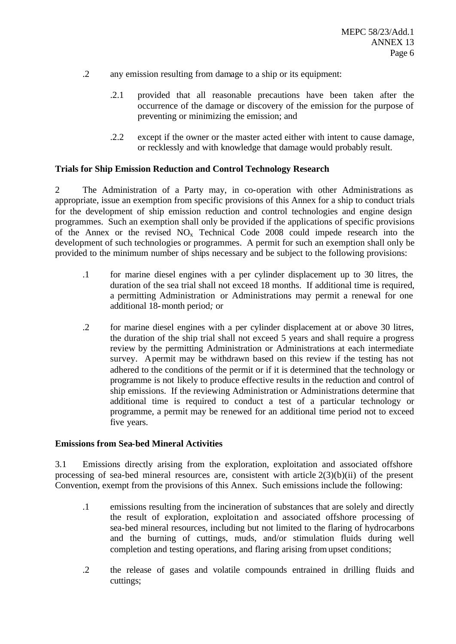- .2 any emission resulting from damage to a ship or its equipment:
	- .2.1 provided that all reasonable precautions have been taken after the occurrence of the damage or discovery of the emission for the purpose of preventing or minimizing the emission; and
	- .2.2 except if the owner or the master acted either with intent to cause damage, or recklessly and with knowledge that damage would probably result.

#### **Trials for Ship Emission Reduction and Control Technology Research**

2 The Administration of a Party may, in co-operation with other Administrations as appropriate, issue an exemption from specific provisions of this Annex for a ship to conduct trials for the development of ship emission reduction and control technologies and engine design programmes. Such an exemption shall only be provided if the applications of specific provisions of the Annex or the revised  $NO<sub>x</sub>$  Technical Code 2008 could impede research into the development of such technologies or programmes. A permit for such an exemption shall only be provided to the minimum number of ships necessary and be subject to the following provisions:

- .1 for marine diesel engines with a per cylinder displacement up to 30 litres, the duration of the sea trial shall not exceed 18 months. If additional time is required, a permitting Administration or Administrations may permit a renewal for one additional 18-month period*;* or
- .2 for marine diesel engines with a per cylinder displacement at or above 30 litres, the duration of the ship trial shall not exceed 5 years and shall require a progress review by the permitting Administration or Administrations at each intermediate survey. Apermit may be withdrawn based on this review if the testing has not adhered to the conditions of the permit or if it is determined that the technology or programme is not likely to produce effective results in the reduction and control of ship emissions. If the reviewing Administration or Administrations determine that additional time is required to conduct a test of a particular technology or programme, a permit may be renewed for an additional time period not to exceed five years.

# **Emissions from Sea-bed Mineral Activities**

3.1 Emissions directly arising from the exploration, exploitation and associated offshore processing of sea-bed mineral resources are, consistent with article  $2(3)(b)(ii)$  of the present Convention, exempt from the provisions of this Annex. Such emissions include the following:

- .1 emissions resulting from the incineration of substances that are solely and directly the result of exploration, exploitation and associated offshore processing of sea-bed mineral resources, including but not limited to the flaring of hydrocarbons and the burning of cuttings, muds, and/or stimulation fluids during well completion and testing operations, and flaring arising from upset conditions;
- .2 the release of gases and volatile compounds entrained in drilling fluids and cuttings;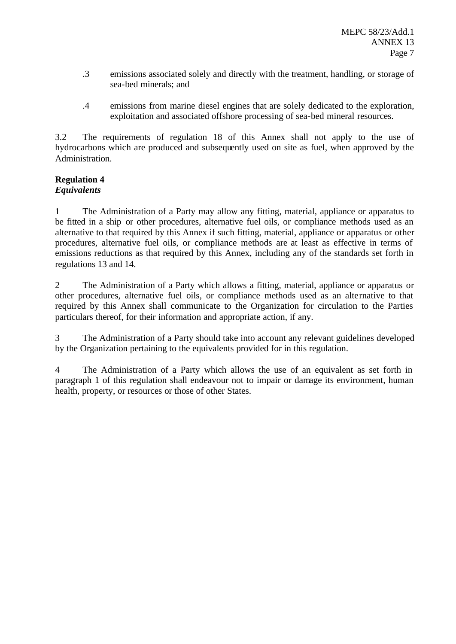- .3 emissions associated solely and directly with the treatment, handling, or storage of sea-bed minerals; and
- .4 emissions from marine diesel engines that are solely dedicated to the exploration, exploitation and associated offshore processing of sea-bed mineral resources.

3.2 The requirements of regulation 18 of this Annex shall not apply to the use of hydrocarbons which are produced and subsequently used on site as fuel, when approved by the Administration.

# **Regulation 4**

# *Equivalents*

1 The Administration of a Party may allow any fitting, material, appliance or apparatus to be fitted in a ship or other procedures, alternative fuel oils, or compliance methods used as an alternative to that required by this Annex if such fitting, material, appliance or apparatus or other procedures, alternative fuel oils, or compliance methods are at least as effective in terms of emissions reductions as that required by this Annex, including any of the standards set forth in regulations 13 and 14.

2 The Administration of a Party which allows a fitting, material, appliance or apparatus or other procedures, alternative fuel oils, or compliance methods used as an alternative to that required by this Annex shall communicate to the Organization for circulation to the Parties particulars thereof, for their information and appropriate action, if any.

3 The Administration of a Party should take into account any relevant guidelines developed by the Organization pertaining to the equivalents provided for in this regulation.

4 The Administration of a Party which allows the use of an equivalent as set forth in paragraph 1 of this regulation shall endeavour not to impair or damage its environment, human health, property, or resources or those of other States.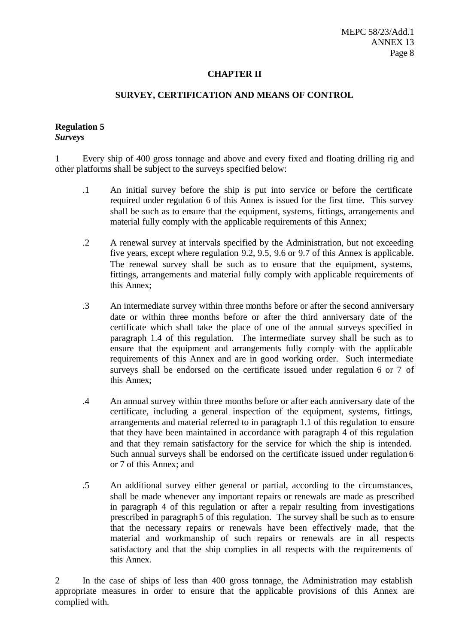#### **CHAPTER II**

#### **SURVEY, CERTIFICATION AND MEANS OF CONTROL**

#### **Regulation 5** *Surveys*

1 Every ship of 400 gross tonnage and above and every fixed and floating drilling rig and other platforms shall be subject to the surveys specified below:

- .1 An initial survey before the ship is put into service or before the certificate required under regulation 6 of this Annex is issued for the first time. This survey shall be such as to ensure that the equipment, systems, fittings, arrangements and material fully comply with the applicable requirements of this Annex;
- .2 A renewal survey at intervals specified by the Administration, but not exceeding five years, except where regulation 9.2, 9.5, 9.6 or 9.7 of this Annex is applicable. The renewal survey shall be such as to ensure that the equipment, systems, fittings, arrangements and material fully comply with applicable requirements of this Annex;
- .3 An intermediate survey within three months before or after the second anniversary date or within three months before or after the third anniversary date of the certificate which shall take the place of one of the annual surveys specified in paragraph 1.4 of this regulation. The intermediate survey shall be such as to ensure that the equipment and arrangements fully comply with the applicable requirements of this Annex and are in good working order. Such intermediate surveys shall be endorsed on the certificate issued under regulation 6 or 7 of this Annex;
- .4 An annual survey within three months before or after each anniversary date of the certificate, including a general inspection of the equipment, systems, fittings, arrangements and material referred to in paragraph 1.1 of this regulation to ensure that they have been maintained in accordance with paragraph 4 of this regulation and that they remain satisfactory for the service for which the ship is intended. Such annual surveys shall be endorsed on the certificate issued under regulation 6 or 7 of this Annex; and
- .5 An additional survey either general or partial, according to the circumstances, shall be made whenever any important repairs or renewals are made as prescribed in paragraph 4 of this regulation or after a repair resulting from investigations prescribed in paragraph 5 of this regulation. The survey shall be such as to ensure that the necessary repairs or renewals have been effectively made, that the material and workmanship of such repairs or renewals are in all respects satisfactory and that the ship complies in all respects with the requirements of this Annex.

2 In the case of ships of less than 400 gross tonnage, the Administration may establish appropriate measures in order to ensure that the applicable provisions of this Annex are complied with.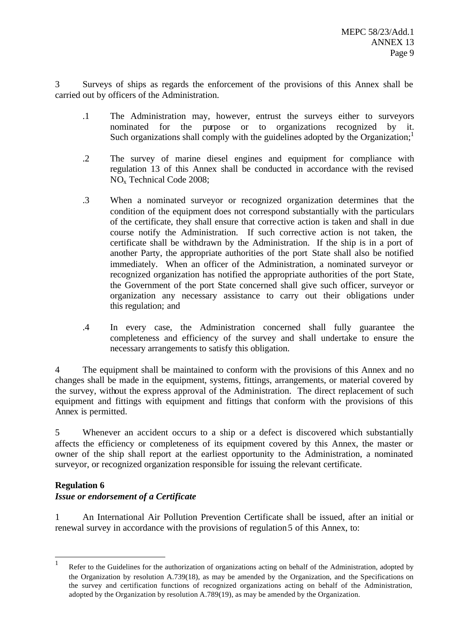3 Surveys of ships as regards the enforcement of the provisions of this Annex shall be carried out by officers of the Administration.

- .1 The Administration may, however, entrust the surveys either to surveyors nominated for the purpose or to organizations recognized by it. Such organizations shall comply with the guidelines adopted by the Organization;<sup>1</sup>
- .2 The survey of marine diesel engines and equipment for compliance with regulation 13 of this Annex shall be conducted in accordance with the revised NO<sup>x</sup> Technical Code 2008;
- .3 When a nominated surveyor or recognized organization determines that the condition of the equipment does not correspond substantially with the particulars of the certificate, they shall ensure that corrective action is taken and shall in due course notify the Administration. If such corrective action is not taken, the certificate shall be withdrawn by the Administration. If the ship is in a port of another Party, the appropriate authorities of the port State shall also be notified immediately. When an officer of the Administration, a nominated surveyor or recognized organization has notified the appropriate authorities of the port State, the Government of the port State concerned shall give such officer, surveyor or organization any necessary assistance to carry out their obligations under this regulation; and
- .4 In every case, the Administration concerned shall fully guarantee the completeness and efficiency of the survey and shall undertake to ensure the necessary arrangements to satisfy this obligation.

4 The equipment shall be maintained to conform with the provisions of this Annex and no changes shall be made in the equipment, systems, fittings, arrangements, or material covered by the survey, without the express approval of the Administration. The direct replacement of such equipment and fittings with equipment and fittings that conform with the provisions of this Annex is permitted.

5 Whenever an accident occurs to a ship or a defect is discovered which substantially affects the efficiency or completeness of its equipment covered by this Annex, the master or owner of the ship shall report at the earliest opportunity to the Administration, a nominated surveyor, or recognized organization responsible for issuing the relevant certificate.

# **Regulation 6**

# *Issue or endorsement of a Certificate*

1 An International Air Pollution Prevention Certificate shall be issued, after an initial or renewal survey in accordance with the provisions of regulation5 of this Annex, to:

 $\frac{1}{1}$ Refer to the Guidelines for the authorization of organizations acting on behalf of the Administration, adopted by the Organization by resolution A.739(18), as may be amended by the Organization, and the Specifications on the survey and certification functions of recognized organizations acting on behalf of the Administration, adopted by the Organization by resolution A.789(19), as may be amended by the Organization.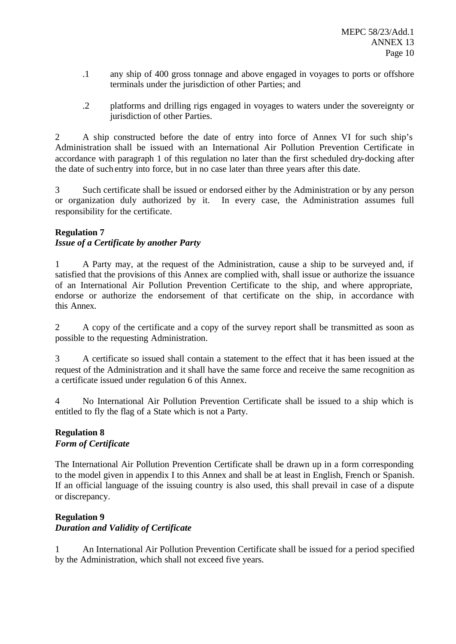- .1 any ship of 400 gross tonnage and above engaged in voyages to ports or offshore terminals under the jurisdiction of other Parties; and
- .2 platforms and drilling rigs engaged in voyages to waters under the sovereignty or jurisdiction of other Parties.

2 A ship constructed before the date of entry into force of Annex VI for such ship's Administration shall be issued with an International Air Pollution Prevention Certificate in accordance with paragraph 1 of this regulation no later than the first scheduled dry-docking after the date of such entry into force, but in no case later than three years after this date.

3 Such certificate shall be issued or endorsed either by the Administration or by any person or organization duly authorized by it. In every case, the Administration assumes full responsibility for the certificate.

# **Regulation 7**

## *Issue of a Certificate by another Party*

1 A Party may, at the request of the Administration, cause a ship to be surveyed and, if satisfied that the provisions of this Annex are complied with, shall issue or authorize the issuance of an International Air Pollution Prevention Certificate to the ship, and where appropriate, endorse or authorize the endorsement of that certificate on the ship, in accordance with this Annex.

2 A copy of the certificate and a copy of the survey report shall be transmitted as soon as possible to the requesting Administration.

3 A certificate so issued shall contain a statement to the effect that it has been issued at the request of the Administration and it shall have the same force and receive the same recognition as a certificate issued under regulation 6 of this Annex.

4 No International Air Pollution Prevention Certificate shall be issued to a ship which is entitled to fly the flag of a State which is not a Party.

#### **Regulation 8** *Form of Certificate*

The International Air Pollution Prevention Certificate shall be drawn up in a form corresponding to the model given in appendix I to this Annex and shall be at least in English, French or Spanish. If an official language of the issuing country is also used, this shall prevail in case of a dispute or discrepancy.

# **Regulation 9**

# *Duration and Validity of Certificate*

1 An International Air Pollution Prevention Certificate shall be issued for a period specified by the Administration, which shall not exceed five years.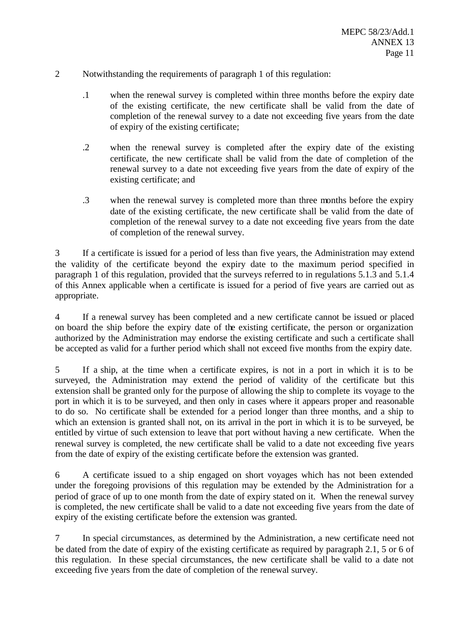- 2 Notwithstanding the requirements of paragraph 1 of this regulation:
	- .1 when the renewal survey is completed within three months before the expiry date of the existing certificate, the new certificate shall be valid from the date of completion of the renewal survey to a date not exceeding five years from the date of expiry of the existing certificate;
	- .2 when the renewal survey is completed after the expiry date of the existing certificate, the new certificate shall be valid from the date of completion of the renewal survey to a date not exceeding five years from the date of expiry of the existing certificate; and
	- .3 when the renewal survey is completed more than three months before the expiry date of the existing certificate, the new certificate shall be valid from the date of completion of the renewal survey to a date not exceeding five years from the date of completion of the renewal survey.

3 If a certificate is issued for a period of less than five years, the Administration may extend the validity of the certificate beyond the expiry date to the maximum period specified in paragraph 1 of this regulation, provided that the surveys referred to in regulations 5.1.3 and 5.1.4 of this Annex applicable when a certificate is issued for a period of five years are carried out as appropriate.

4 If a renewal survey has been completed and a new certificate cannot be issued or placed on board the ship before the expiry date of the existing certificate, the person or organization authorized by the Administration may endorse the existing certificate and such a certificate shall be accepted as valid for a further period which shall not exceed five months from the expiry date.

5 If a ship, at the time when a certificate expires, is not in a port in which it is to be surveyed, the Administration may extend the period of validity of the certificate but this extension shall be granted only for the purpose of allowing the ship to complete its voyage to the port in which it is to be surveyed, and then only in cases where it appears proper and reasonable to do so. No certificate shall be extended for a period longer than three months, and a ship to which an extension is granted shall not, on its arrival in the port in which it is to be surveyed, be entitled by virtue of such extension to leave that port without having a new certificate. When the renewal survey is completed, the new certificate shall be valid to a date not exceeding five years from the date of expiry of the existing certificate before the extension was granted.

6 A certificate issued to a ship engaged on short voyages which has not been extended under the foregoing provisions of this regulation may be extended by the Administration for a period of grace of up to one month from the date of expiry stated on it. When the renewal survey is completed, the new certificate shall be valid to a date not exceeding five years from the date of expiry of the existing certificate before the extension was granted.

7 In special circumstances, as determined by the Administration, a new certificate need not be dated from the date of expiry of the existing certificate as required by paragraph 2.1, 5 or 6 of this regulation. In these special circumstances, the new certificate shall be valid to a date not exceeding five years from the date of completion of the renewal survey.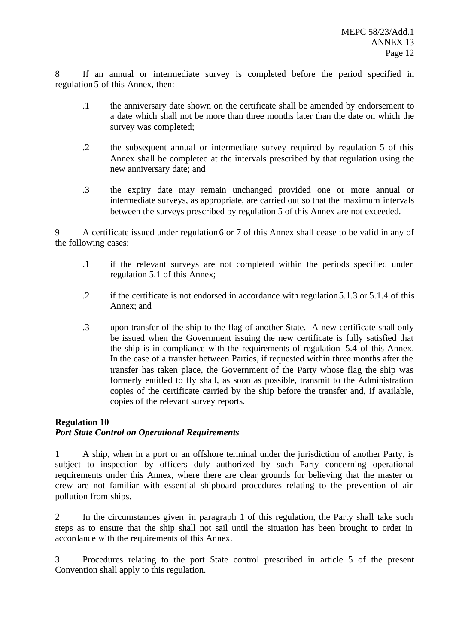8 If an annual or intermediate survey is completed before the period specified in regulation 5 of this Annex, then:

- .1 the anniversary date shown on the certificate shall be amended by endorsement to a date which shall not be more than three months later than the date on which the survey was completed;
- .2 the subsequent annual or intermediate survey required by regulation 5 of this Annex shall be completed at the intervals prescribed by that regulation using the new anniversary date; and
- .3 the expiry date may remain unchanged provided one or more annual or intermediate surveys, as appropriate, are carried out so that the maximum intervals between the surveys prescribed by regulation 5 of this Annex are not exceeded.

9 A certificate issued under regulation 6 or 7 of this Annex shall cease to be valid in any of the following cases:

- .1 if the relevant surveys are not completed within the periods specified under regulation 5.1 of this Annex;
- .2 if the certificate is not endorsed in accordance with regulation 5.1.3 or 5.1.4 of this Annex; and
- .3 upon transfer of the ship to the flag of another State. A new certificate shall only be issued when the Government issuing the new certificate is fully satisfied that the ship is in compliance with the requirements of regulation 5.4 of this Annex. In the case of a transfer between Parties, if requested within three months after the transfer has taken place, the Government of the Party whose flag the ship was formerly entitled to fly shall, as soon as possible, transmit to the Administration copies of the certificate carried by the ship before the transfer and, if available, copies of the relevant survey reports.

# **Regulation 10**

#### *Port State Control on Operational Requirements*

1 A ship, when in a port or an offshore terminal under the jurisdiction of another Party, is subject to inspection by officers duly authorized by such Party concerning operational requirements under this Annex, where there are clear grounds for believing that the master or crew are not familiar with essential shipboard procedures relating to the prevention of air pollution from ships.

2 In the circumstances given in paragraph 1 of this regulation, the Party shall take such steps as to ensure that the ship shall not sail until the situation has been brought to order in accordance with the requirements of this Annex.

3 Procedures relating to the port State control prescribed in article 5 of the present Convention shall apply to this regulation.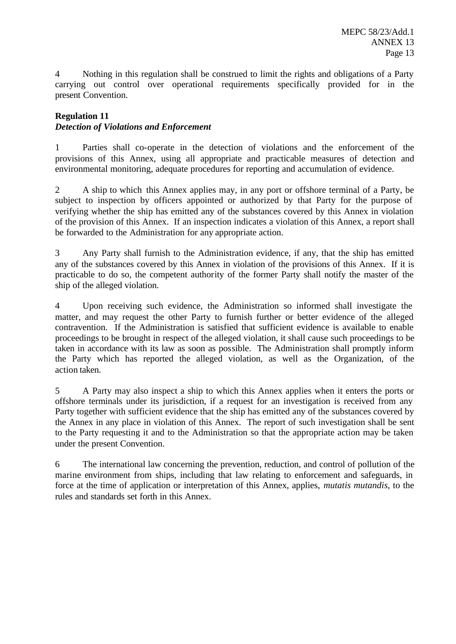4 Nothing in this regulation shall be construed to limit the rights and obligations of a Party carrying out control over operational requirements specifically provided for in the present Convention.

## **Regulation 11**

# *Detection of Violations and Enforcement*

1 Parties shall co-operate in the detection of violations and the enforcement of the provisions of this Annex, using all appropriate and practicable measures of detection and environmental monitoring, adequate procedures for reporting and accumulation of evidence.

2 A ship to which this Annex applies may, in any port or offshore terminal of a Party, be subject to inspection by officers appointed or authorized by that Party for the purpose of verifying whether the ship has emitted any of the substances covered by this Annex in violation of the provision of this Annex. If an inspection indicates a violation of this Annex, a report shall be forwarded to the Administration for any appropriate action.

3 Any Party shall furnish to the Administration evidence, if any, that the ship has emitted any of the substances covered by this Annex in violation of the provisions of this Annex. If it is practicable to do so, the competent authority of the former Party shall notify the master of the ship of the alleged violation.

4 Upon receiving such evidence, the Administration so informed shall investigate the matter, and may request the other Party to furnish further or better evidence of the alleged contravention. If the Administration is satisfied that sufficient evidence is available to enable proceedings to be brought in respect of the alleged violation, it shall cause such proceedings to be taken in accordance with its law as soon as possible. The Administration shall promptly inform the Party which has reported the alleged violation, as well as the Organization, of the action taken.

5 A Party may also inspect a ship to which this Annex applies when it enters the ports or offshore terminals under its jurisdiction, if a request for an investigation is received from any Party together with sufficient evidence that the ship has emitted any of the substances covered by the Annex in any place in violation of this Annex. The report of such investigation shall be sent to the Party requesting it and to the Administration so that the appropriate action may be taken under the present Convention.

6 The international law concerning the prevention, reduction, and control of pollution of the marine environment from ships, including that law relating to enforcement and safeguards, in force at the time of application or interpretation of this Annex, applies, *mutatis mutandis*, to the rules and standards set forth in this Annex.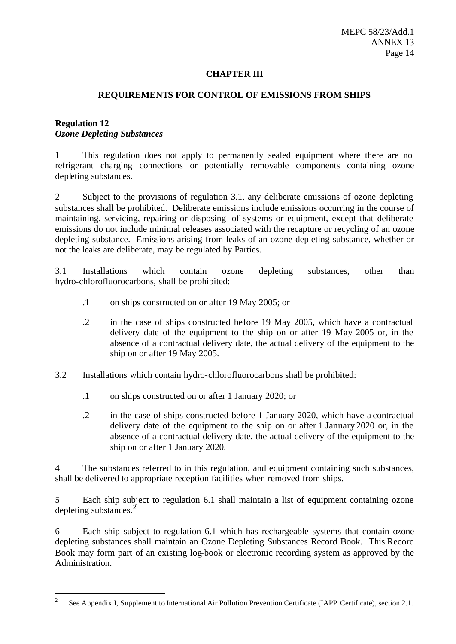#### **CHAPTER III**

## **REQUIREMENTS FOR CONTROL OF EMISSIONS FROM SHIPS**

## **Regulation 12** *Ozone Depleting Substances*

l

1 This regulation does not apply to permanently sealed equipment where there are no refrigerant charging connections or potentially removable components containing ozone depleting substances.

2 Subject to the provisions of regulation 3.1, any deliberate emissions of ozone depleting substances shall be prohibited. Deliberate emissions include emissions occurring in the course of maintaining, servicing, repairing or disposing of systems or equipment, except that deliberate emissions do not include minimal releases associated with the recapture or recycling of an ozone depleting substance. Emissions arising from leaks of an ozone depleting substance, whether or not the leaks are deliberate, may be regulated by Parties.

3.1 Installations which contain ozone depleting substances, other than hydro-chlorofluorocarbons, shall be prohibited:

- .1 on ships constructed on or after 19 May 2005; or
- .2 in the case of ships constructed before 19 May 2005, which have a contractual delivery date of the equipment to the ship on or after 19 May 2005 or, in the absence of a contractual delivery date, the actual delivery of the equipment to the ship on or after 19 May 2005.
- 3.2 Installations which contain hydro-chlorofluorocarbons shall be prohibited:
	- .1 on ships constructed on or after 1 January 2020; or
	- .2 in the case of ships constructed before 1 January 2020, which have a contractual delivery date of the equipment to the ship on or after 1 January 2020 or, in the absence of a contractual delivery date, the actual delivery of the equipment to the ship on or after 1 January 2020.

4 The substances referred to in this regulation, and equipment containing such substances, shall be delivered to appropriate reception facilities when removed from ships.

5 Each ship subject to regulation 6.1 shall maintain a list of equipment containing ozone depleting substances.<sup>2</sup>

6 Each ship subject to regulation 6.1 which has rechargeable systems that contain ozone depleting substances shall maintain an Ozone Depleting Substances Record Book. This Record Book may form part of an existing log-book or electronic recording system as approved by the Administration.

<sup>2</sup> See Appendix I, Supplement to International Air Pollution Prevention Certificate (IAPP Certificate), section 2.1.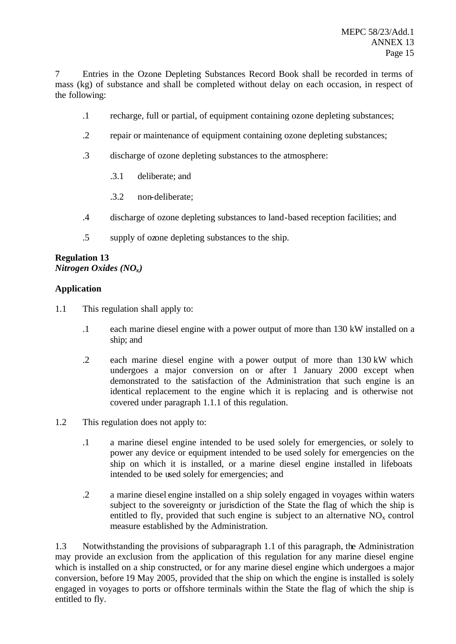7 Entries in the Ozone Depleting Substances Record Book shall be recorded in terms of mass (kg) of substance and shall be completed without delay on each occasion, in respect of the following:

- .1 recharge, full or partial, of equipment containing ozone depleting substances;
- .2 repair or maintenance of equipment containing ozone depleting substances;
- .3 discharge of ozone depleting substances to the atmosphere:
	- .3.1 deliberate; and
	- .3.2 non-deliberate;
- .4 discharge of ozone depleting substances to land-based reception facilities; and
- .5 supply of ozone depleting substances to the ship.

# **Regulation 13**

# *Nitrogen Oxides (NOx)*

#### **Application**

- 1.1 This regulation shall apply to:
	- .1 each marine diesel engine with a power output of more than 130 kW installed on a ship; and
	- .2 each marine diesel engine with a power output of more than 130 kW which undergoes a major conversion on or after 1 January 2000 except when demonstrated to the satisfaction of the Administration that such engine is an identical replacement to the engine which it is replacing and is otherwise not covered under paragraph 1.1.1 of this regulation.
- 1.2 This regulation does not apply to:
	- .1 a marine diesel engine intended to be used solely for emergencies, or solely to power any device or equipment intended to be used solely for emergencies on the ship on which it is installed, or a marine diesel engine installed in lifeboats intended to be used solely for emergencies; and
	- .2 a marine diesel engine installed on a ship solely engaged in voyages within waters subject to the sovereignty or jurisdiction of the State the flag of which the ship is entitled to fly, provided that such engine is subject to an alternative  $NO<sub>x</sub>$  control measure established by the Administration.

1.3 Notwithstanding the provisions of subparagraph 1.1 of this paragraph, the Administration may provide an exclusion from the application of this regulation for any marine diesel engine which is installed on a ship constructed, or for any marine diesel engine which undergoes a major conversion, before 19 May 2005, provided that the ship on which the engine is installed is solely engaged in voyages to ports or offshore terminals within the State the flag of which the ship is entitled to fly.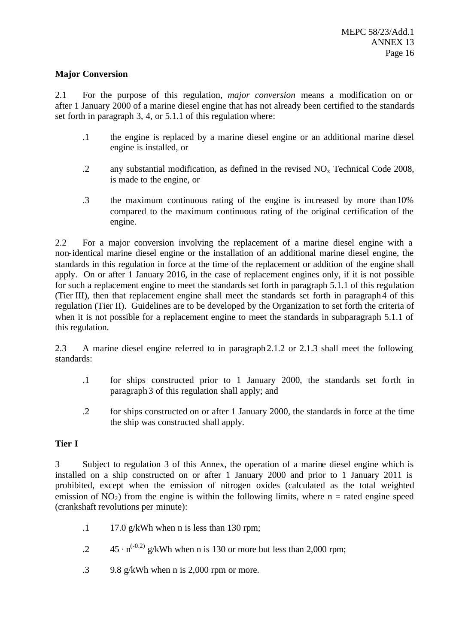## **Major Conversion**

2.1 For the purpose of this regulation, *major conversion* means a modification on or after 1 January 2000 of a marine diesel engine that has not already been certified to the standards set forth in paragraph 3, 4, or 5.1.1 of this regulation where:

- .1 the engine is replaced by a marine diesel engine or an additional marine diesel engine is installed, or
- .2 any substantial modification, as defined in the revised  $NO<sub>x</sub>$  Technical Code 2008, is made to the engine, or
- .3 the maximum continuous rating of the engine is increased by more than10% compared to the maximum continuous rating of the original certification of the engine.

2.2 For a major conversion involving the replacement of a marine diesel engine with a non-identical marine diesel engine or the installation of an additional marine diesel engine, the standards in this regulation in force at the time of the replacement or addition of the engine shall apply. On or after 1 January 2016, in the case of replacement engines only, if it is not possible for such a replacement engine to meet the standards set forth in paragraph 5.1.1 of this regulation (Tier III), then that replacement engine shall meet the standards set forth in paragraph4 of this regulation (Tier II). Guidelines are to be developed by the Organization to set forth the criteria of when it is not possible for a replacement engine to meet the standards in subparagraph 5.1.1 of this regulation.

2.3 A marine diesel engine referred to in paragraph2.1.2 or 2.1.3 shall meet the following standards:

- .1 for ships constructed prior to 1 January 2000, the standards set fo rth in paragraph 3 of this regulation shall apply; and
- .2 for ships constructed on or after 1 January 2000, the standards in force at the time the ship was constructed shall apply.

# **Tier I**

3 Subject to regulation 3 of this Annex, the operation of a marine diesel engine which is installed on a ship constructed on or after 1 January 2000 and prior to 1 January 2011 is prohibited, except when the emission of nitrogen oxides (calculated as the total weighted emission of  $NO<sub>2</sub>$ ) from the engine is within the following limits, where n = rated engine speed (crankshaft revolutions per minute):

- $11$  17.0 g/kWh when n is less than 130 rpm;
- .2 45  $\cdot$  n<sup>(-0.2)</sup> g/kWh when n is 130 or more but less than 2,000 rpm;
- $.3$  9.8 g/kWh when n is 2,000 rpm or more.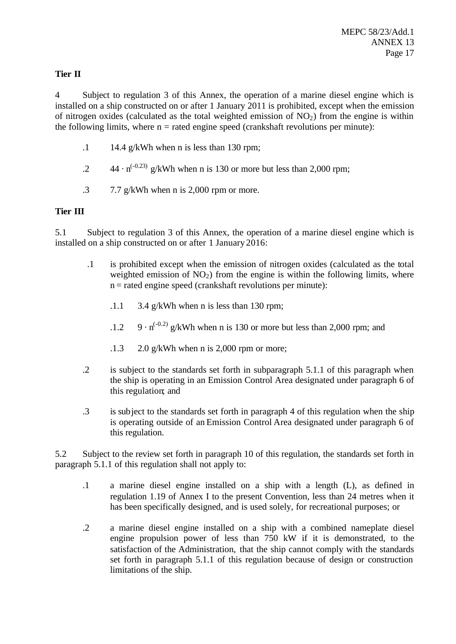# **Tier II**

4 Subject to regulation 3 of this Annex, the operation of a marine diesel engine which is installed on a ship constructed on or after 1 January 2011 is prohibited, except when the emission of nitrogen oxides (calculated as the total weighted emission of  $NO<sub>2</sub>$ ) from the engine is within the following limits, where  $n =$  rated engine speed (crankshaft revolutions per minute):

- $11$  14.4 g/kWh when n is less than 130 rpm;
- .2 44  $\cdot$  n<sup>(-0.23)</sup> g/kWh when n is 130 or more but less than 2,000 rpm;
- $.3$  7.7 g/kWh when n is 2,000 rpm or more.

## **Tier III**

5.1 Subject to regulation 3 of this Annex, the operation of a marine diesel engine which is installed on a ship constructed on or after 1 January 2016:

- .1 is prohibited except when the emission of nitrogen oxides (calculated as the total weighted emission of  $NO<sub>2</sub>$ ) from the engine is within the following limits, where  $n =$  rated engine speed (crankshaft revolutions per minute):
	- .1.1 3.4 g/kWh when n is less than 130 rpm;
	- .1.2 9  $\cdot$  n<sup>(-0.2)</sup> g/kWh when n is 130 or more but less than 2,000 rpm; and
	- $1.3$  2.0 g/kWh when n is 2,000 rpm or more;
- .2 is subject to the standards set forth in subparagraph 5.1.1 of this paragraph when the ship is operating in an Emission Control Area designated under paragraph 6 of this regulation; and
- .3 is subject to the standards set forth in paragraph 4 of this regulation when the ship is operating outside of an Emission Control Area designated under paragraph 6 of this regulation.

5.2 Subject to the review set forth in paragraph 10 of this regulation, the standards set forth in paragraph 5.1.1 of this regulation shall not apply to:

- .1 a marine diesel engine installed on a ship with a length (L), as defined in regulation 1.19 of Annex I to the present Convention, less than 24 metres when it has been specifically designed, and is used solely, for recreational purposes; or
- .2 a marine diesel engine installed on a ship with a combined nameplate diesel engine propulsion power of less than 750 kW if it is demonstrated, to the satisfaction of the Administration, that the ship cannot comply with the standards set forth in paragraph 5.1.1 of this regulation because of design or construction limitations of the ship.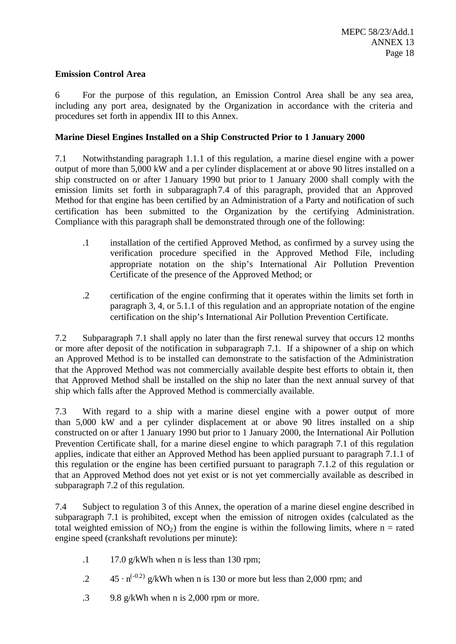#### **Emission Control Area**

6 For the purpose of this regulation, an Emission Control Area shall be any sea area, including any port area, designated by the Organization in accordance with the criteria and procedures set forth in appendix III to this Annex.

## **Marine Diesel Engines Installed on a Ship Constructed Prior to 1 January 2000**

7.1 Notwithstanding paragraph 1.1.1 of this regulation, a marine diesel engine with a power output of more than 5,000 kW and a per cylinder displacement at or above 90 litres installed on a ship constructed on or after 1 January 1990 but prior to 1 January 2000 shall comply with the emission limits set forth in subparagraph7.4 of this paragraph, provided that an Approved Method for that engine has been certified by an Administration of a Party and notification of such certification has been submitted to the Organization by the certifying Administration. Compliance with this paragraph shall be demonstrated through one of the following:

- .1 installation of the certified Approved Method, as confirmed by a survey using the verification procedure specified in the Approved Method File, including appropriate notation on the ship's International Air Pollution Prevention Certificate of the presence of the Approved Method; or
- .2 certification of the engine confirming that it operates within the limits set forth in paragraph 3, 4, or 5.1.1 of this regulation and an appropriate notation of the engine certification on the ship's International Air Pollution Prevention Certificate.

7.2 Subparagraph 7.1 shall apply no later than the first renewal survey that occurs 12 months or more after deposit of the notification in subparagraph 7.1. If a shipowner of a ship on which an Approved Method is to be installed can demonstrate to the satisfaction of the Administration that the Approved Method was not commercially available despite best efforts to obtain it, then that Approved Method shall be installed on the ship no later than the next annual survey of that ship which falls after the Approved Method is commercially available.

7.3 With regard to a ship with a marine diesel engine with a power output of more than 5,000 kW and a per cylinder displacement at or above 90 litres installed on a ship constructed on or after 1 January 1990 but prior to 1 January 2000, the International Air Pollution Prevention Certificate shall, for a marine diesel engine to which paragraph 7.1 of this regulation applies, indicate that either an Approved Method has been applied pursuant to paragraph 7.1.1 of this regulation or the engine has been certified pursuant to paragraph 7.1.2 of this regulation or that an Approved Method does not yet exist or is not yet commercially available as described in subparagraph 7.2 of this regulation.

7.4 Subject to regulation 3 of this Annex, the operation of a marine diesel engine described in subparagraph 7.1 is prohibited, except when the emission of nitrogen oxides (calculated as the total weighted emission of  $NO<sub>2</sub>$ ) from the engine is within the following limits, where n = rated engine speed (crankshaft revolutions per minute):

- $11$  17.0 g/kWh when n is less than 130 rpm;
- .2  $45 \cdot n^{(-0.2)}$  g/kWh when n is 130 or more but less than 2,000 rpm; and
- $.3$  9.8 g/kWh when n is 2,000 rpm or more.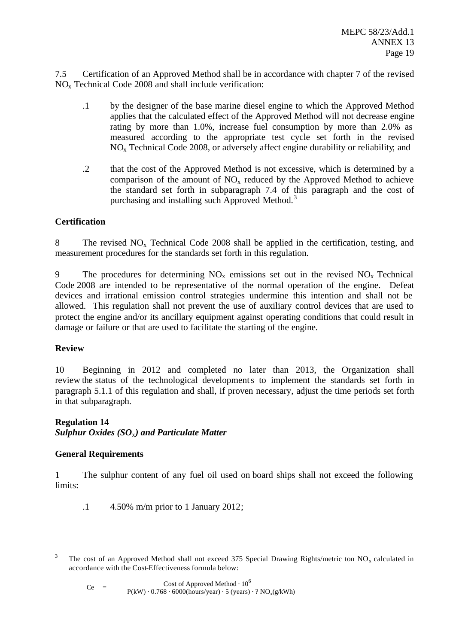7.5 Certification of an Approved Method shall be in accordance with chapter 7 of the revised NOx Technical Code 2008 and shall include verification:

- .1 by the designer of the base marine diesel engine to which the Approved Method applies that the calculated effect of the Approved Method will not decrease engine rating by more than 1.0%, increase fuel consumption by more than 2.0% as measured according to the appropriate test cycle set forth in the revised NOx Technical Code 2008, or adversely affect engine durability or reliability; and
- .2 that the cost of the Approved Method is not excessive, which is determined by a comparison of the amount of  $NO<sub>x</sub>$  reduced by the Approved Method to achieve the standard set forth in subparagraph 7.4 of this paragraph and the cost of purchasing and installing such Approved Method.<sup>3</sup>

## **Certification**

8 The revised NO<sub>x</sub> Technical Code 2008 shall be applied in the certification, testing, and measurement procedures for the standards set forth in this regulation.

9 The procedures for determining  $NO<sub>x</sub>$  emissions set out in the revised  $NO<sub>x</sub>$  Technical Code 2008 are intended to be representative of the normal operation of the engine. Defeat devices and irrational emission control strategies undermine this intention and shall not be allowed. This regulation shall not prevent the use of auxiliary control devices that are used to protect the engine and/or its ancillary equipment against operating conditions that could result in damage or failure or that are used to facilitate the starting of the engine.

#### **Review**

l

10 Beginning in 2012 and completed no later than 2013, the Organization shall review the status of the technological developments to implement the standards set forth in paragraph 5.1.1 of this regulation and shall, if proven necessary, adjust the time periods set forth in that subparagraph.

# **Regulation 14**

*Sulphur Oxides (SO*x*) and Particulate Matter* 

# **General Requirements**

1 The sulphur content of any fuel oil used on board ships shall not exceed the following limits:

.1 4.50% m/m prior to 1 January 2012;

$$
\text{Ce} = \frac{\text{Cost of Approved Method} \cdot 10^6}{P(kW) \cdot 0.768 \cdot 6000(\text{hours/year}) \cdot 5 \text{ (years)} \cdot ? \text{ NO}_x(g/kWh)}}
$$

<sup>3</sup> The cost of an Approved Method shall not exceed 375 Special Drawing Rights/metric ton  $NO<sub>x</sub>$  calculated in accordance with the Cost-Effectiveness formula below: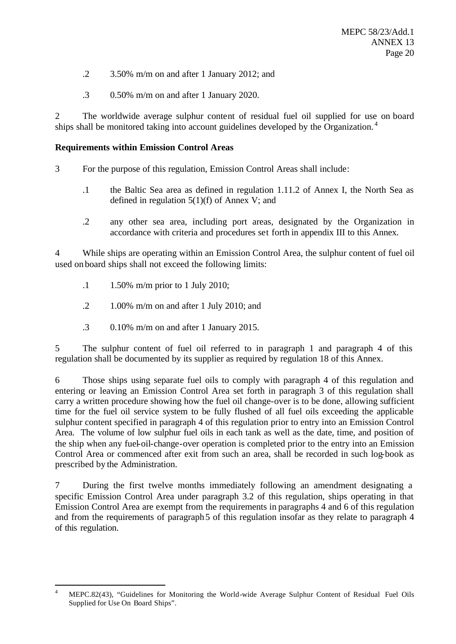- .2 3.50% m/m on and after 1 January 2012; and
- .3 0.50% m/m on and after 1 January 2020.

2 The worldwide average sulphur content of residual fuel oil supplied for use on board ships shall be monitored taking into account guidelines developed by the Organization.<sup>4</sup>

## **Requirements within Emission Control Areas**

3 For the purpose of this regulation, Emission Control Areas shall include:

- .1 the Baltic Sea area as defined in regulation 1.11.2 of Annex I, the North Sea as defined in regulation 5(1)(f) of Annex V; and
- .2 any other sea area, including port areas, designated by the Organization in accordance with criteria and procedures set forth in appendix III to this Annex.

4 While ships are operating within an Emission Control Area, the sulphur content of fuel oil used on board ships shall not exceed the following limits:

.1 1.50% m/m prior to 1 July 2010;

l

- .2 1.00% m/m on and after 1 July 2010; and
- .3 0.10% m/m on and after 1 January 2015.

5 The sulphur content of fuel oil referred to in paragraph 1 and paragraph 4 of this regulation shall be documented by its supplier as required by regulation 18 of this Annex.

6 Those ships using separate fuel oils to comply with paragraph 4 of this regulation and entering or leaving an Emission Control Area set forth in paragraph 3 of this regulation shall carry a written procedure showing how the fuel oil change-over is to be done, allowing sufficient time for the fuel oil service system to be fully flushed of all fuel oils exceeding the applicable sulphur content specified in paragraph 4 of this regulation prior to entry into an Emission Control Area. The volume of low sulphur fuel oils in each tank as well as the date, time, and position of the ship when any fuel-oil-change-over operation is completed prior to the entry into an Emission Control Area or commenced after exit from such an area, shall be recorded in such log-book as prescribed by the Administration.

7 During the first twelve months immediately following an amendment designating a specific Emission Control Area under paragraph 3.2 of this regulation, ships operating in that Emission Control Area are exempt from the requirements in paragraphs 4 and 6 of this regulation and from the requirements of paragraph 5 of this regulation insofar as they relate to paragraph 4 of this regulation.

<sup>&</sup>lt;sup>4</sup> MEPC.82(43), "Guidelines for Monitoring the World-wide Average Sulphur Content of Residual Fuel Oils Supplied for Use On Board Ships".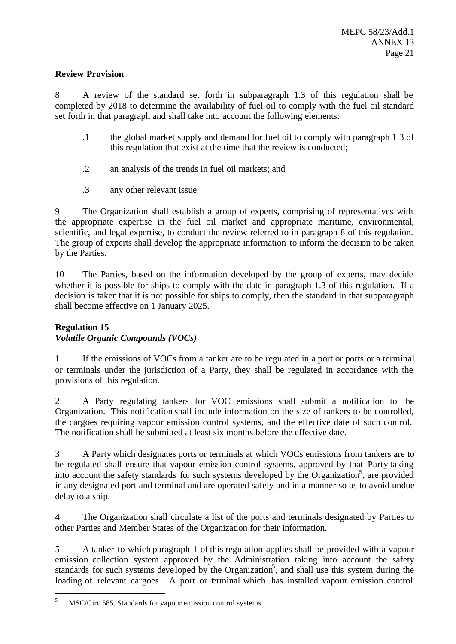# **Review Provision**

8 A review of the standard set forth in subparagraph 1.3 of this regulation shall be completed by 2018 to determine the availability of fuel oil to comply with the fuel oil standard set forth in that paragraph and shall take into account the following elements:

- .1 the global market supply and demand for fuel oil to comply with paragraph 1.3 of this regulation that exist at the time that the review is conducted;
- .2 an analysis of the trends in fuel oil markets; and
- .3 any other relevant issue.

9 The Organization shall establish a group of experts, comprising of representatives with the appropriate expertise in the fuel oil market and appropriate maritime, environmental, scientific, and legal expertise, to conduct the review referred to in paragraph 8 of this regulation. The group of experts shall develop the appropriate information to inform the decision to be taken by the Parties.

10 The Parties, based on the information developed by the group of experts, may decide whether it is possible for ships to comply with the date in paragraph 1.3 of this regulation. If a decision is taken that it is not possible for ships to comply, then the standard in that subparagraph shall become effective on 1 January 2025.

# **Regulation 15**

l

# *Volatile Organic Compounds (VOCs)*

1 If the emissions of VOCs from a tanker are to be regulated in a port or ports or a terminal or terminals under the jurisdiction of a Party, they shall be regulated in accordance with the provisions of this regulation.

2 A Party regulating tankers for VOC emissions shall submit a notification to the Organization. This notification shall include information on the size of tankers to be controlled, the cargoes requiring vapour emission control systems, and the effective date of such control. The notification shall be submitted at least six months before the effective date.

3 A Party which designates ports or terminals at which VOCs emissions from tankers are to be regulated shall ensure that vapour emission control systems, approved by that Party taking into account the safety standards for such systems developed by the Organization<sup>5</sup>, are provided in any designated port and terminal and are operated safely and in a manner so as to avoid undue delay to a ship.

4 The Organization shall circulate a list of the ports and terminals designated by Parties to other Parties and Member States of the Organization for their information.

5 A tanker to which paragraph 1 of this regulation applies shall be provided with a vapour emission collection system approved by the Administration taking into account the safety standards for such systems developed by the Organization<sup>5</sup>, and shall use this system during the loading of relevant cargoes. A port or terminal which has installed vapour emission control

<sup>&</sup>lt;sup>5</sup> MSC/Circ.585, Standards for vapour emission control systems.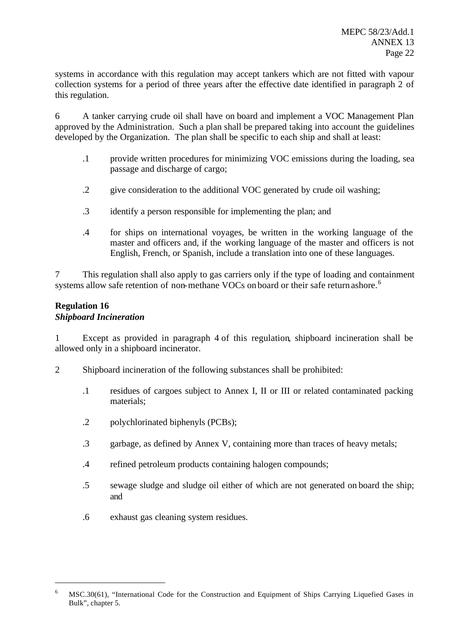systems in accordance with this regulation may accept tankers which are not fitted with vapour collection systems for a period of three years after the effective date identified in paragraph 2 of this regulation.

6 A tanker carrying crude oil shall have on board and implement a VOC Management Plan approved by the Administration. Such a plan shall be prepared taking into account the guidelines developed by the Organization. The plan shall be specific to each ship and shall at least:

- .1 provide written procedures for minimizing VOC emissions during the loading, sea passage and discharge of cargo;
- .2 give consideration to the additional VOC generated by crude oil washing;
- .3 identify a person responsible for implementing the plan; and
- .4 for ships on international voyages, be written in the working language of the master and officers and, if the working language of the master and officers is not English, French, or Spanish, include a translation into one of these languages.

7 This regulation shall also apply to gas carriers only if the type of loading and containment systems allow safe retention of non-methane VOCs on board or their safe return ashore.<sup>6</sup>

# **Regulation 16**

l

# *Shipboard Incineration*

1 Except as provided in paragraph 4 of this regulation, shipboard incineration shall be allowed only in a shipboard incinerator.

2 Shipboard incineration of the following substances shall be prohibited:

- .1 residues of cargoes subject to Annex I, II or III or related contaminated packing materials;
- .2 polychlorinated biphenyls (PCBs);
- .3 garbage, as defined by Annex V, containing more than traces of heavy metals;
- .4 refined petroleum products containing halogen compounds;
- .5 sewage sludge and sludge oil either of which are not generated on board the ship; and
- .6 exhaust gas cleaning system residues.

<sup>&</sup>lt;sup>6</sup> MSC.30(61), "International Code for the Construction and Equipment of Ships Carrying Liquefied Gases in Bulk", chapter 5.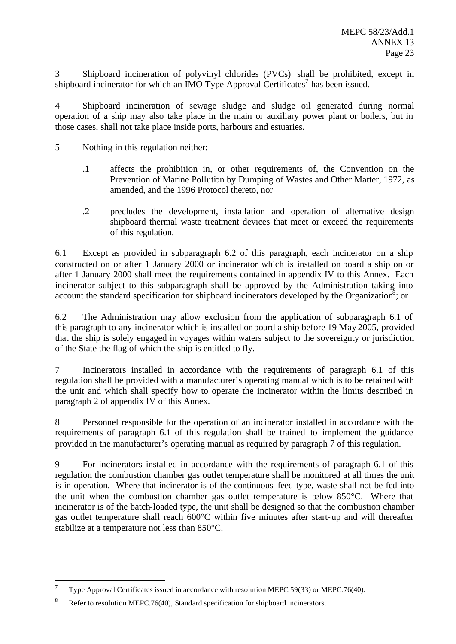3 Shipboard incineration of polyvinyl chlorides (PVCs) shall be prohibited, except in shipboard incinerator for which an IMO Type Approval Certificates<sup>7</sup> has been issued.

4 Shipboard incineration of sewage sludge and sludge oil generated during normal operation of a ship may also take place in the main or auxiliary power plant or boilers, but in those cases, shall not take place inside ports, harbours and estuaries.

- 5 Nothing in this regulation neither:
	- .1 affects the prohibition in, or other requirements of, the Convention on the Prevention of Marine Pollution by Dumping of Wastes and Other Matter, 1972, as amended, and the 1996 Protocol thereto, nor
	- .2 precludes the development, installation and operation of alternative design shipboard thermal waste treatment devices that meet or exceed the requirements of this regulation.

6.1 Except as provided in subparagraph 6.2 of this paragraph, each incinerator on a ship constructed on or after 1 January 2000 or incinerator which is installed on board a ship on or after 1 January 2000 shall meet the requirements contained in appendix IV to this Annex. Each incinerator subject to this subparagraph shall be approved by the Administration taking into account the standard specification for shipboard incinerators developed by the Organization<sup>8</sup>; or

6.2 The Administration may allow exclusion from the application of subparagraph 6.1 of this paragraph to any incinerator which is installed onboard a ship before 19 May 2005, provided that the ship is solely engaged in voyages within waters subject to the sovereignty or jurisdiction of the State the flag of which the ship is entitled to fly.

7 Incinerators installed in accordance with the requirements of paragraph 6.1 of this regulation shall be provided with a manufacturer's operating manual which is to be retained with the unit and which shall specify how to operate the incinerator within the limits described in paragraph 2 of appendix IV of this Annex.

8 Personnel responsible for the operation of an incinerator installed in accordance with the requirements of paragraph 6.1 of this regulation shall be trained to implement the guidance provided in the manufacturer's operating manual as required by paragraph 7 of this regulation.

9 For incinerators installed in accordance with the requirements of paragraph 6.1 of this regulation the combustion chamber gas outlet temperature shall be monitored at all times the unit is in operation. Where that incinerator is of the continuous-feed type, waste shall not be fed into the unit when the combustion chamber gas outlet temperature is below 850°C. Where that incinerator is of the batch-loaded type, the unit shall be designed so that the combustion chamber gas outlet temperature shall reach 600°C within five minutes after start-up and will thereafter stabilize at a temperature not less than 850°C.

<sup>7</sup> Type Approval Certificates issued in accordance with resolution MEPC.59(33) or MEPC.76(40).

Refer to resolution MEPC.76(40), Standard specification for shipboard incinerators.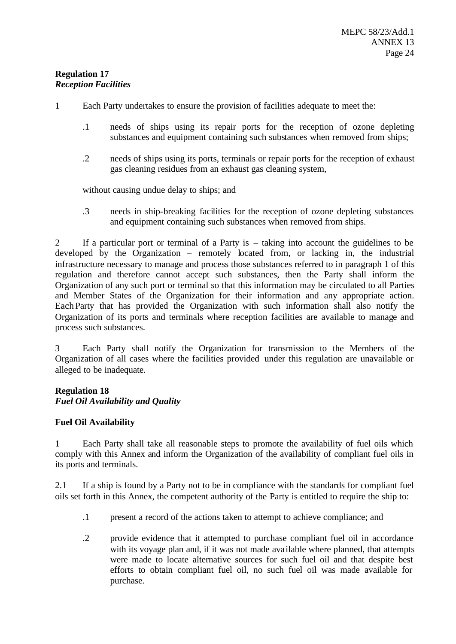# **Regulation 17** *Reception Facilities*

- 1 Each Party undertakes to ensure the provision of facilities adequate to meet the:
	- .1 needs of ships using its repair ports for the reception of ozone depleting substances and equipment containing such substances when removed from ships;
	- .2 needs of ships using its ports, terminals or repair ports for the reception of exhaust gas cleaning residues from an exhaust gas cleaning system,

without causing undue delay to ships; and

.3 needs in ship-breaking facilities for the reception of ozone depleting substances and equipment containing such substances when removed from ships.

2 If a particular port or terminal of a Party is – taking into account the guidelines to be developed by the Organization – remotely located from, or lacking in, the industrial infrastructure necessary to manage and process those substances referred to in paragraph 1 of this regulation and therefore cannot accept such substances, then the Party shall inform the Organization of any such port or terminal so that this information may be circulated to all Parties and Member States of the Organization for their information and any appropriate action. Each Party that has provided the Organization with such information shall also notify the Organization of its ports and terminals where reception facilities are available to manage and process such substances.

3 Each Party shall notify the Organization for transmission to the Members of the Organization of all cases where the facilities provided under this regulation are unavailable or alleged to be inadequate.

# **Regulation 18**

#### *Fuel Oil Availability and Quality*

# **Fuel Oil Availability**

1 Each Party shall take all reasonable steps to promote the availability of fuel oils which comply with this Annex and inform the Organization of the availability of compliant fuel oils in its ports and terminals.

2.1 If a ship is found by a Party not to be in compliance with the standards for compliant fuel oils set forth in this Annex, the competent authority of the Party is entitled to require the ship to:

- .1 present a record of the actions taken to attempt to achieve compliance; and
- .2 provide evidence that it attempted to purchase compliant fuel oil in accordance with its voyage plan and, if it was not made available where planned, that attempts were made to locate alternative sources for such fuel oil and that despite best efforts to obtain compliant fuel oil, no such fuel oil was made available for purchase.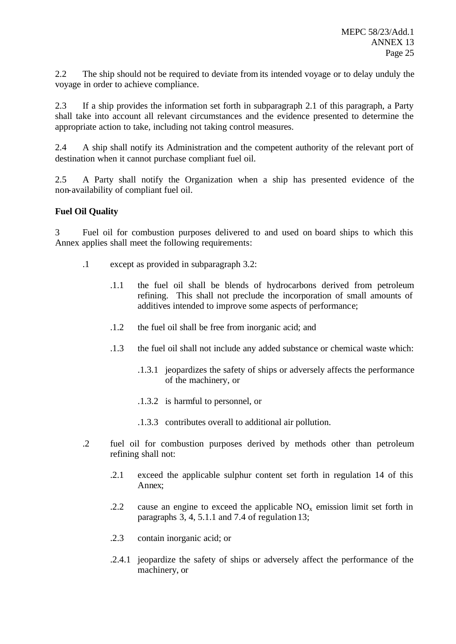2.2 The ship should not be required to deviate from its intended voyage or to delay unduly the voyage in order to achieve compliance.

2.3 If a ship provides the information set forth in subparagraph 2.1 of this paragraph, a Party shall take into account all relevant circumstances and the evidence presented to determine the appropriate action to take, including not taking control measures.

2.4 A ship shall notify its Administration and the competent authority of the relevant port of destination when it cannot purchase compliant fuel oil.

2.5 A Party shall notify the Organization when a ship has presented evidence of the non-availability of compliant fuel oil.

# **Fuel Oil Quality**

3 Fuel oil for combustion purposes delivered to and used on board ships to which this Annex applies shall meet the following requirements:

- .1 except as provided in subparagraph 3.2:
	- .1.1 the fuel oil shall be blends of hydrocarbons derived from petroleum refining. This shall not preclude the incorporation of small amounts of additives intended to improve some aspects of performance;
	- .1.2 the fuel oil shall be free from inorganic acid; and
	- .1.3 the fuel oil shall not include any added substance or chemical waste which:
		- .1.3.1 jeopardizes the safety of ships or adversely affects the performance of the machinery, or
		- .1.3.2 is harmful to personnel, or
		- .1.3.3 contributes overall to additional air pollution.
- .2 fuel oil for combustion purposes derived by methods other than petroleum refining shall not:
	- .2.1 exceed the applicable sulphur content set forth in regulation 14 of this Annex;
	- $.2.2$  cause an engine to exceed the applicable NO<sub>x</sub> emission limit set forth in paragraphs 3, 4, 5.1.1 and 7.4 of regulation 13;
	- .2.3 contain inorganic acid; or
	- .2.4.1 jeopardize the safety of ships or adversely affect the performance of the machinery, or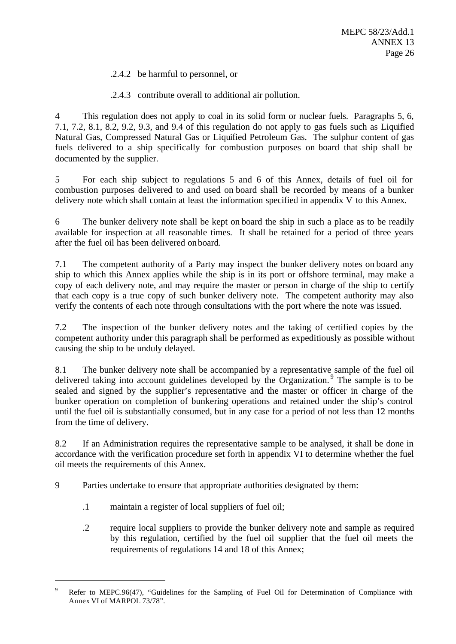- .2.4.2 be harmful to personnel, or
- .2.4.3 contribute overall to additional air pollution.

4 This regulation does not apply to coal in its solid form or nuclear fuels. Paragraphs 5, 6, 7.1, 7.2, 8.1, 8.2, 9.2, 9.3, and 9.4 of this regulation do not apply to gas fuels such as Liquified Natural Gas, Compressed Natural Gas or Liquified Petroleum Gas. The sulphur content of gas fuels delivered to a ship specifically for combustion purposes on board that ship shall be documented by the supplier.

5 For each ship subject to regulations 5 and 6 of this Annex, details of fuel oil for combustion purposes delivered to and used on board shall be recorded by means of a bunker delivery note which shall contain at least the information specified in appendix V to this Annex.

6 The bunker delivery note shall be kept on board the ship in such a place as to be readily available for inspection at all reasonable times. It shall be retained for a period of three years after the fuel oil has been delivered onboard.

7.1 The competent authority of a Party may inspect the bunker delivery notes on board any ship to which this Annex applies while the ship is in its port or offshore terminal, may make a copy of each delivery note, and may require the master or person in charge of the ship to certify that each copy is a true copy of such bunker delivery note. The competent authority may also verify the contents of each note through consultations with the port where the note was issued.

7.2 The inspection of the bunker delivery notes and the taking of certified copies by the competent authority under this paragraph shall be performed as expeditiously as possible without causing the ship to be unduly delayed.

8.1 The bunker delivery note shall be accompanied by a representative sample of the fuel oil delivered taking into account guidelines developed by the Organization.<sup>9</sup> The sample is to be sealed and signed by the supplier's representative and the master or officer in charge of the bunker operation on completion of bunkering operations and retained under the ship's control until the fuel oil is substantially consumed, but in any case for a period of not less than 12 months from the time of delivery.

8.2 If an Administration requires the representative sample to be analysed, it shall be done in accordance with the verification procedure set forth in appendix VI to determine whether the fuel oil meets the requirements of this Annex.

- 9 Parties undertake to ensure that appropriate authorities designated by them:
	- .1 maintain a register of local suppliers of fuel oil;

l

.2 require local suppliers to provide the bunker delivery note and sample as required by this regulation, certified by the fuel oil supplier that the fuel oil meets the requirements of regulations 14 and 18 of this Annex;

<sup>&</sup>lt;sup>9</sup> Refer to MEPC.96(47), "Guidelines for the Sampling of Fuel Oil for Determination of Compliance with Annex VI of MARPOL 73/78".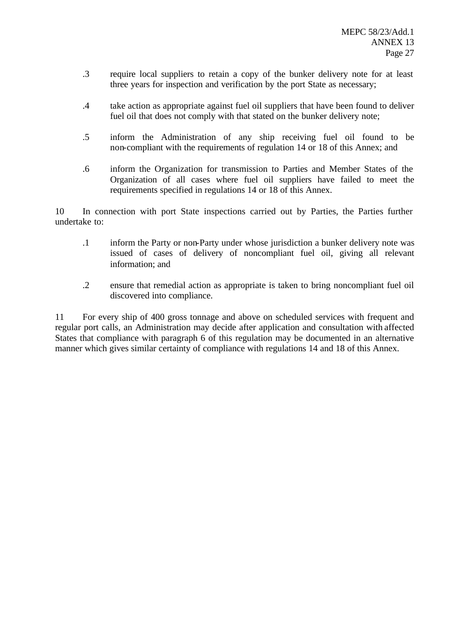- .3 require local suppliers to retain a copy of the bunker delivery note for at least three years for inspection and verification by the port State as necessary;
- .4 take action as appropriate against fuel oil suppliers that have been found to deliver fuel oil that does not comply with that stated on the bunker delivery note;
- .5 inform the Administration of any ship receiving fuel oil found to be non-compliant with the requirements of regulation 14 or 18 of this Annex; and
- .6 inform the Organization for transmission to Parties and Member States of the Organization of all cases where fuel oil suppliers have failed to meet the requirements specified in regulations 14 or 18 of this Annex.

10 In connection with port State inspections carried out by Parties, the Parties further undertake to:

- .1 inform the Party or non-Party under whose jurisdiction a bunker delivery note was issued of cases of delivery of noncompliant fuel oil, giving all relevant information; and
- .2 ensure that remedial action as appropriate is taken to bring noncompliant fuel oil discovered into compliance.

11 For every ship of 400 gross tonnage and above on scheduled services with frequent and regular port calls, an Administration may decide after application and consultation with affected States that compliance with paragraph 6 of this regulation may be documented in an alternative manner which gives similar certainty of compliance with regulations 14 and 18 of this Annex.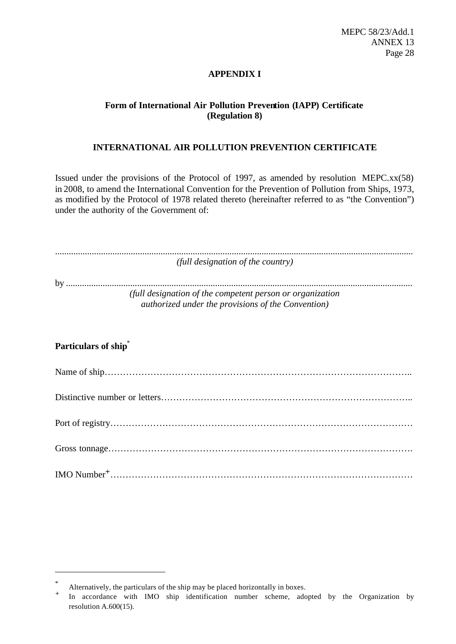## **APPENDIX I**

## **Form of International Air Pollution Prevention (IAPP) Certificate (Regulation 8)**

## **INTERNATIONAL AIR POLLUTION PREVENTION CERTIFICATE**

Issued under the provisions of the Protocol of 1997, as amended by resolution MEPC.xx(58) in 2008, to amend the International Convention for the Prevention of Pollution from Ships, 1973, as modified by the Protocol of 1978 related thereto (hereinafter referred to as "the Convention") under the authority of the Government of:

| (full designation of the country)                                                                               |
|-----------------------------------------------------------------------------------------------------------------|
|                                                                                                                 |
| (full designation of the competent person or organization<br>authorized under the provisions of the Convention) |
| Particulars of ship <sup>®</sup>                                                                                |
|                                                                                                                 |
|                                                                                                                 |
|                                                                                                                 |
|                                                                                                                 |
|                                                                                                                 |

Alternatively, the particulars of the ship may be placed horizontally in boxes.

<sup>+</sup> In accordance with IMO ship identification number scheme, adopted by the Organization by resolution A.600(15).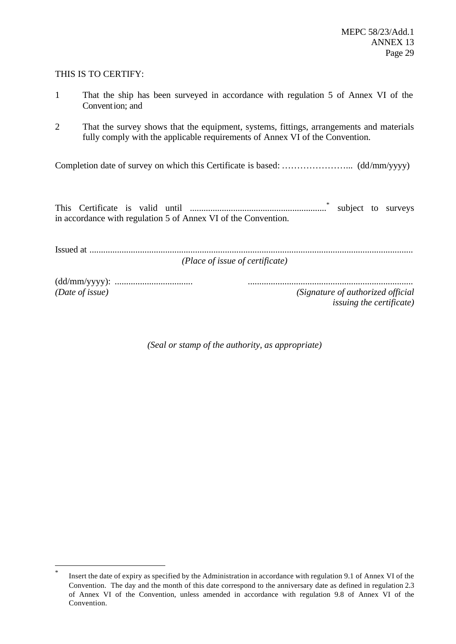#### THIS IS TO CERTIFY:

l

- 1 That the ship has been surveyed in accordance with regulation 5 of Annex VI of the Convention; and
- 2 That the survey shows that the equipment, systems, fittings, arrangements and materials fully comply with the applicable requirements of Annex VI of the Convention.

Completion date of survey on which this Certificate is based: …………………... (dd/mm/yyyy)

This Certificate is valid until ............................................................\* subject to surveys in accordance with regulation 5 of Annex VI of the Convention.

Issued at ............................................................................................................................................. *(Place of issue of certificate)*

(dd/mm/yyyy): .................................. ........................................................................ *(Date of issue) (Signature of authorized official issuing the certificate)*

*(Seal or stamp of the authority, as appropriate)*

<sup>\*</sup> Insert the date of expiry as specified by the Administration in accordance with regulation 9.1 of Annex VI of the Convention. The day and the month of this date correspond to the anniversary date as defined in regulation 2.3 of Annex VI of the Convention, unless amended in accordance with regulation 9.8 of Annex VI of the Convention.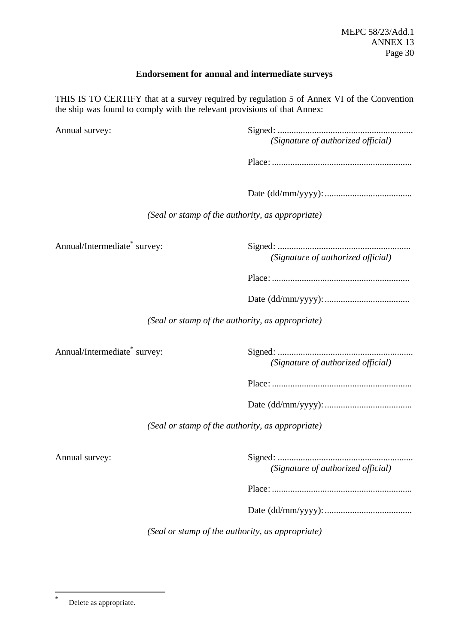MEPC 58/23/Add.1 ANNEX 13 Page 30

#### **Endorsement for annual and intermediate surveys**

THIS IS TO CERTIFY that at a survey required by regulation 5 of Annex VI of the Convention the ship was found to comply with the relevant provisions of that Annex:

Annual survey: Signed: ........................................................... *(Signature of authorized official)*

Place: .............................................................

Date (dd/mm/yyyy):......................................

*(Seal or stamp of the authority, as appropriate)*

Annual/Intermediate\* survey:

 survey: Signed: .......................................................... *(Signature of authorized official)*

Place: ............................................................

Date (dd/mm/yyyy):.....................................

*(Seal or stamp of the authority, as appropriate)*

Annual/Intermediate\* survey:

 survey: Signed: ........................................................... *(Signature of authorized official)*

Place: .............................................................

Date (dd/mm/yyyy): ......................................

*(Seal or stamp of the authority, as appropriate)*

Annual survey: Signed: ........................................................... *(Signature of authorized official)*

Place: .............................................................

Date (dd/mm/yyyy):......................................

*(Seal or stamp of the authority, as appropriate)*

Delete as appropriate.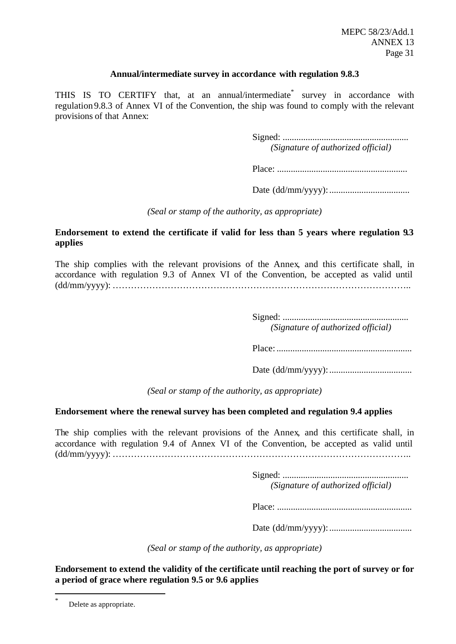#### **Annual/intermediate survey in accordance with regulation 9.8.3**

THIS IS TO CERTIFY that, at an annual/intermediate\* survey in accordance with regulation 9.8.3 of Annex VI of the Convention, the ship was found to comply with the relevant provisions of that Annex:

> Signed: ....................................................... *(Signature of authorized official)*

> Place: .........................................................

Date (dd/mm/yyyy):...................................

*(Seal or stamp of the authority, as appropriate)*

# **Endorsement to extend the certificate if valid for less than 5 years where regulation 9.3 applies**

The ship complies with the relevant provisions of the Annex, and this certificate shall, in accordance with regulation 9.3 of Annex VI of the Convention, be accepted as valid until (dd/mm/yyyy): ……………………………………………………………………………………..

> Signed: ....................................................... *(Signature of authorized official)*

Place: ...........................................................

Date (dd/mm/yyyy):....................................

*(Seal or stamp of the authority, as appropriate)*

# **Endorsement where the renewal survey has been completed and regulation 9.4 applies**

The ship complies with the relevant provisions of the Annex, and this certificate shall, in accordance with regulation 9.4 of Annex VI of the Convention, be accepted as valid until (dd/mm/yyyy): ……………………………………………………………………………………..

> Signed: ....................................................... *(Signature of authorized official)*

Place: ...........................................................

Date (dd/mm/yyyy):....................................

*(Seal or stamp of the authority, as appropriate)*

**Endorsement to extend the validity of the certificate until reaching the port of survey or for a period of grace where regulation 9.5 or 9.6 applies**

Delete as appropriate.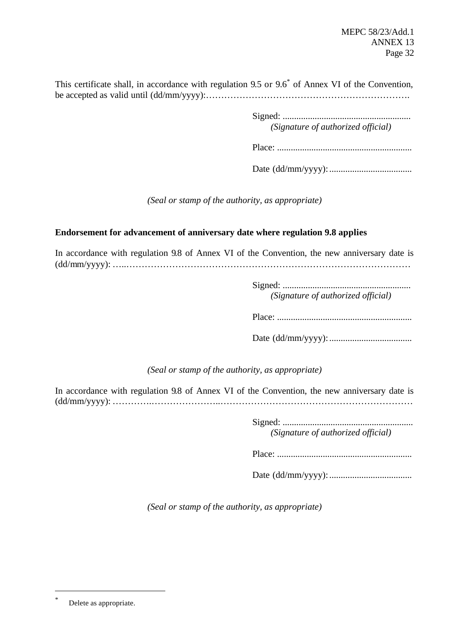This certificate shall, in accordance with regulation 9.5 or 9.6<sup>\*</sup> of Annex VI of the Convention, be accepted as valid until (dd/mm/yyyy):………………………………………………………….

> Signed: ........................................................ *(Signature of authorized official)*

> Place: ...........................................................

Date (dd/mm/yyyy):....................................

*(Seal or stamp of the authority, as appropriate)*

# **Endorsement for advancement of anniversary date where regulation 9.8 applies**

In accordance with regulation 9.8 of Annex VI of the Convention, the new anniversary date is (dd/mm/yyyy): …..…………………………………………………………………………………

> Signed: ........................................................ *(Signature of authorized official)*

> Place: ...........................................................

Date (dd/mm/yyyy):....................................

# *(Seal or stamp of the authority, as appropriate)*

In accordance with regulation 9.8 of Annex VI of the Convention, the new anniversary date is (dd/mm/yyyy): ………….…………………..………………………………………………………

> Signed: ......................................................... *(Signature of authorized official)*

> Place: ...........................................................

Date (dd/mm/yyyy):....................................

*(Seal or stamp of the authority, as appropriate)*

Delete as appropriate.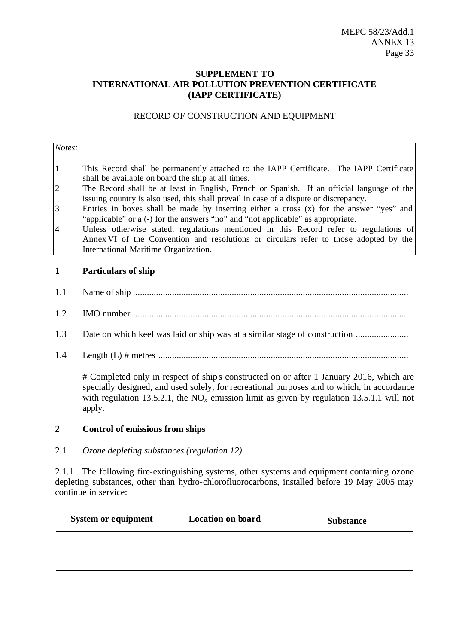#### **SUPPLEMENT TO INTERNATIONAL AIR POLLUTION PREVENTION CERTIFICATE (IAPP CERTIFICATE)**

# RECORD OF CONSTRUCTION AND EQUIPMENT

| Notes:         |                                                                                                                                                                                                                        |
|----------------|------------------------------------------------------------------------------------------------------------------------------------------------------------------------------------------------------------------------|
| $\vert$ 1      | This Record shall be permanently attached to the IAPP Certificate. The IAPP Certificate<br>shall be available on board the ship at all times.                                                                          |
| $\overline{2}$ | The Record shall be at least in English, French or Spanish. If an official language of the<br>issuing country is also used, this shall prevail in case of a dispute or discrepancy.                                    |
| $\overline{3}$ | Entries in boxes shall be made by inserting either a cross (x) for the answer "yes" and<br>"applicable" or a (-) for the answers "no" and "not applicable" as appropriate.                                             |
| $\overline{4}$ | Unless otherwise stated, regulations mentioned in this Record refer to regulations of<br>Annex VI of the Convention and resolutions or circulars refer to those adopted by the<br>International Maritime Organization. |
| 1              | <b>Particulars of ship</b>                                                                                                                                                                                             |
| 1.1            |                                                                                                                                                                                                                        |
| 1.2            |                                                                                                                                                                                                                        |
| 1.3            |                                                                                                                                                                                                                        |

1.4 Length (L) # metres .............................................................................................................

# Completed only in respect of ships constructed on or after 1 January 2016, which are specially designed, and used solely, for recreational purposes and to which, in accordance with regulation 13.5.2.1, the  $NO<sub>x</sub>$  emission limit as given by regulation 13.5.1.1 will not apply.

# **2 Control of emissions from ships**

# 2.1 *Ozone depleting substances (regulation 12)*

2.1.1 The following fire-extinguishing systems, other systems and equipment containing ozone depleting substances, other than hydro-chlorofluorocarbons, installed before 19 May 2005 may continue in service:

| <b>System or equipment</b> | <b>Location on board</b> | <b>Substance</b> |
|----------------------------|--------------------------|------------------|
|                            |                          |                  |
|                            |                          |                  |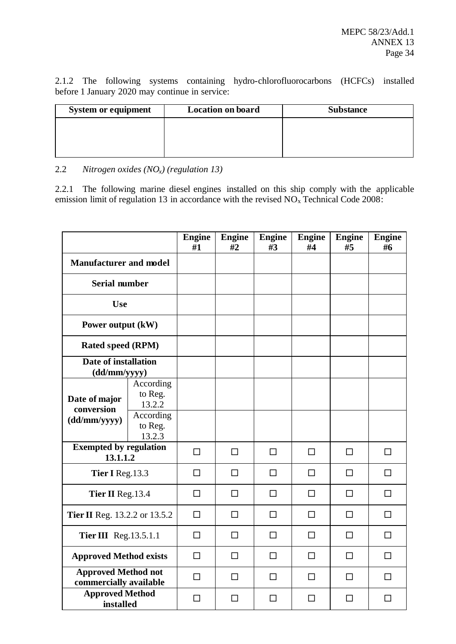2.1.2 The following systems containing hydro-chlorofluorocarbons (HCFCs) installed before 1 January 2020 may continue in service:

| <b>System or equipment</b> | <b>Location on board</b> | <b>Substance</b> |
|----------------------------|--------------------------|------------------|
|                            |                          |                  |
|                            |                          |                  |
|                            |                          |                  |

2.2 *Nitrogen oxides (NOx) (regulation 13)*

2.2.1 The following marine diesel engines installed on this ship comply with the applicable emission limit of regulation 13 in accordance with the revised  $NO<sub>x</sub>$  Technical Code 2008:

|                                                      |                                | <b>Engine</b><br>#1 | <b>Engine</b><br>#2 | <b>Engine</b><br>#3 | <b>Engine</b><br>#4 | <b>Engine</b><br>#5 | <b>Engine</b><br>#6 |
|------------------------------------------------------|--------------------------------|---------------------|---------------------|---------------------|---------------------|---------------------|---------------------|
| <b>Manufacturer and model</b>                        |                                |                     |                     |                     |                     |                     |                     |
| <b>Serial number</b>                                 |                                |                     |                     |                     |                     |                     |                     |
| <b>Use</b>                                           |                                |                     |                     |                     |                     |                     |                     |
| Power output (kW)                                    |                                |                     |                     |                     |                     |                     |                     |
| <b>Rated speed (RPM)</b>                             |                                |                     |                     |                     |                     |                     |                     |
| Date of installation<br>(dd/mm/yyyy)                 |                                |                     |                     |                     |                     |                     |                     |
| Date of major<br>conversion                          | According<br>to Reg.<br>13.2.2 |                     |                     |                     |                     |                     |                     |
| $\frac{dd}{m}$                                       | According<br>to Reg.<br>13.2.3 |                     |                     |                     |                     |                     |                     |
| <b>Exempted by regulation</b><br>13.1.1.2            |                                | П                   | П                   | П                   | П                   | П                   | □                   |
| Tier I Reg. 13.3                                     |                                | □                   | $\Box$              | П                   | $\Box$              | п                   | $\Box$              |
| Tier II Reg.13.4                                     |                                | $\Box$              | $\Box$              | П                   | п                   | п                   | П                   |
| <b>Tier II</b> Reg. 13.2.2 or 13.5.2                 |                                | $\Box$              | П                   | П                   | п                   | п                   | П                   |
| <b>Tier III</b> Reg. 13.5.1.1                        |                                | □                   | П                   | □                   | П                   | □                   | □                   |
| <b>Approved Method exists</b>                        |                                | $\Box$              | □                   | П                   | П                   | П                   | □                   |
| <b>Approved Method not</b><br>commercially available |                                | $\Box$              | $\Box$              | □                   | $\Box$              | $\Box$              | □                   |
| <b>Approved Method</b><br>installed                  |                                | □                   | п                   | $\Box$              | п                   | П                   | П                   |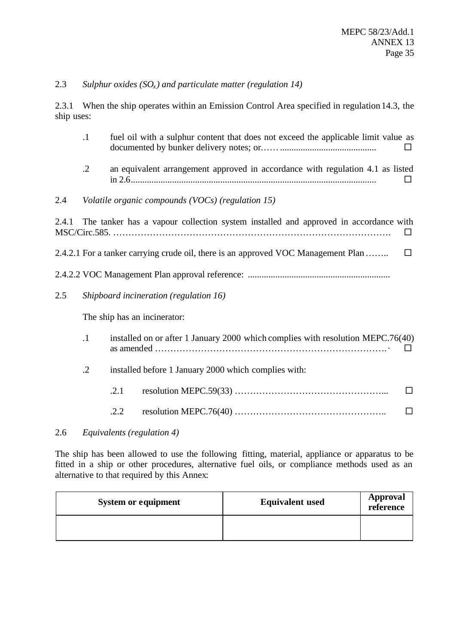## 2.3 *Sulphur oxides (SOx) and particulate matter (regulation 14)*

2.3.1 When the ship operates within an Emission Control Area specified in regulation 14.3, the ship uses:

| $\cdot$ 1                                                                                              | fuel oil with a sulphur content that does not exceed the applicable limit value as          |  |  |  |  |  |  |
|--------------------------------------------------------------------------------------------------------|---------------------------------------------------------------------------------------------|--|--|--|--|--|--|
| $\cdot$ .2                                                                                             | an equivalent arrangement approved in accordance with regulation 4.1 as listed              |  |  |  |  |  |  |
|                                                                                                        | Volatile organic compounds (VOCs) (regulation 15)                                           |  |  |  |  |  |  |
| The tanker has a vapour collection system installed and approved in accordance with<br>2.4.1<br>$\Box$ |                                                                                             |  |  |  |  |  |  |
|                                                                                                        | 2.4.2.1 For a tanker carrying crude oil, there is an approved VOC Management Plan<br>$\Box$ |  |  |  |  |  |  |
|                                                                                                        |                                                                                             |  |  |  |  |  |  |
|                                                                                                        | Shipboard incineration (regulation 16)                                                      |  |  |  |  |  |  |
|                                                                                                        | The ship has an incinerator:                                                                |  |  |  |  |  |  |
| $\cdot$                                                                                                | installed on or after 1 January 2000 which complies with resolution MEPC.76(40)             |  |  |  |  |  |  |
| $\cdot$ .2                                                                                             | installed before 1 January 2000 which complies with:                                        |  |  |  |  |  |  |
|                                                                                                        | .2.1<br>□                                                                                   |  |  |  |  |  |  |
|                                                                                                        | .2.2<br>$\Box$                                                                              |  |  |  |  |  |  |
|                                                                                                        |                                                                                             |  |  |  |  |  |  |

# 2.6 *Equivalents (regulation 4)*

The ship has been allowed to use the following fitting, material, appliance or apparatus to be fitted in a ship or other procedures, alternative fuel oils, or compliance methods used as an alternative to that required by this Annex:

| <b>System or equipment</b> | <b>Equivalent</b> used | Approval<br>reference |
|----------------------------|------------------------|-----------------------|
|                            |                        |                       |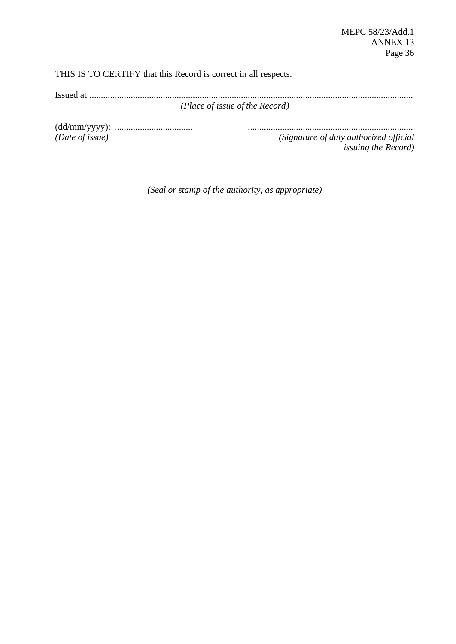THIS IS TO CERTIFY that this Record is correct in all respects.

Issued at ............................................................................................................................................. *(Place of issue of the Record)*

(dd/mm/yyyy): .................................. ........................................................................ *(Date of issue) (Signature of duly authorized official*

 *issuing the Record)*

*(Seal or stamp of the authority, as appropriate)*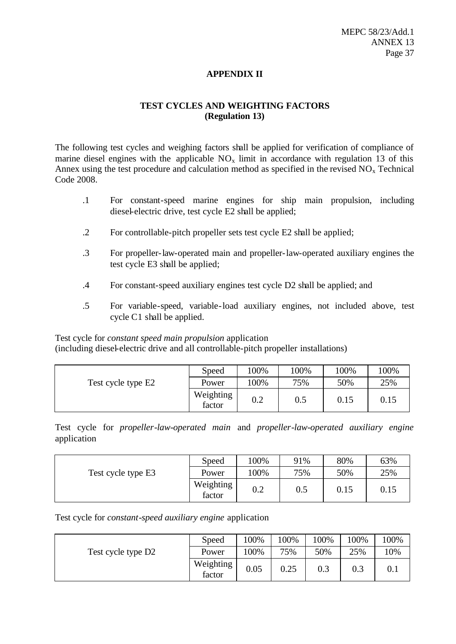## **APPENDIX II**

## **TEST CYCLES AND WEIGHTING FACTORS (Regulation 13)**

The following test cycles and weighing factors shall be applied for verification of compliance of marine diesel engines with the applicable  $NO<sub>x</sub>$  limit in accordance with regulation 13 of this Annex using the test procedure and calculation method as specified in the revised  $NO<sub>x</sub>$  Technical Code 2008.

- .1 For constant-speed marine engines for ship main propulsion, including diesel-electric drive, test cycle E2 shall be applied;
- .2 For controllable-pitch propeller sets test cycle E2 shall be applied;
- .3 For propeller-law-operated main and propeller-law-operated auxiliary engines the test cycle E3 shall be applied;
- .4 For constant-speed auxiliary engines test cycle D2 shall be applied; and
- .5 For variable-speed, variable-load auxiliary engines, not included above, test cycle C1 shall be applied.

Test cycle for *constant speed main propulsion* application

(including diesel-electric drive and all controllable-pitch propeller installations)

|                    | Speed               | 100% | 100%    | 100% | 100% |
|--------------------|---------------------|------|---------|------|------|
| Test cycle type E2 | Power               | 100% | 75%     | 50%  | 25%  |
|                    | Weighting<br>factor | 0.2  | $0.5\,$ | 0.15 | 0.15 |

Test cycle for *propeller-law-operated main* and *propeller-law-operated auxiliary engine* application

|                    | Speed               | 100% | 91%     | 80%  | 63%  |
|--------------------|---------------------|------|---------|------|------|
| Test cycle type E3 | Power               | 100% | 75%     | 50%  | 25%  |
|                    | Weighting<br>factor | 0.2  | $0.5\,$ | 0.15 | 0.15 |

Test cycle for *constant-speed auxiliary engine* application

|                    | Speed               | $100\%$ | 100% | 100% | 100%    | 100% |
|--------------------|---------------------|---------|------|------|---------|------|
| Test cycle type D2 | Power               | $00\%$  | 75%  | 50%  | 25%     | 10%  |
|                    | Weighting<br>factor | 0.05    | 0.25 | 0.3  | $0.3\,$ | 0.1  |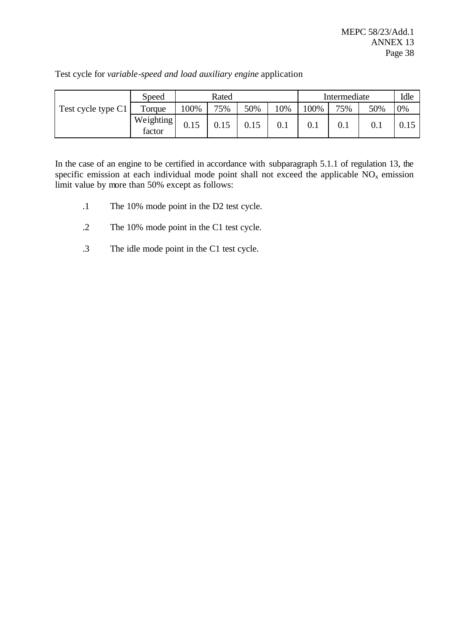|                    | Speed               |      | Rated |     |     |      | Intermediate |     | Idle       |
|--------------------|---------------------|------|-------|-----|-----|------|--------------|-----|------------|
| Test cycle type C1 | Torque              | 100% | 75%   | 50% | 10% | 100% | 75%          | 50% | 0%         |
|                    | Weighting<br>factor | 0.15 |       |     | 0.1 | 0.1  | V. I         | 0.1 | $\cdot$ 15 |

Test cycle for *variable-speed and load auxiliary engine* application

In the case of an engine to be certified in accordance with subparagraph 5.1.1 of regulation 13, the specific emission at each individual mode point shall not exceed the applicable  $NO<sub>x</sub>$  emission limit value by more than 50% except as follows:

- .1 The 10% mode point in the D2 test cycle.
- .2 The 10% mode point in the C1 test cycle.
- .3 The idle mode point in the C1 test cycle.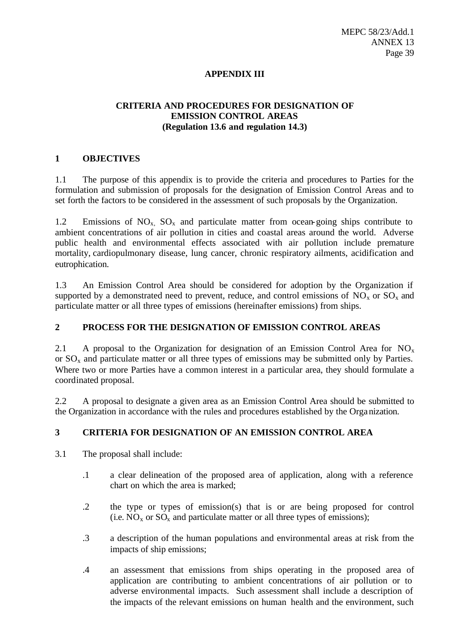## **APPENDIX III**

## **CRITERIA AND PROCEDURES FOR DESIGNATION OF EMISSION CONTROL AREAS (Regulation 13.6 and regulation 14.3)**

## **1 OBJECTIVES**

1.1 The purpose of this appendix is to provide the criteria and procedures to Parties for the formulation and submission of proposals for the designation of Emission Control Areas and to set forth the factors to be considered in the assessment of such proposals by the Organization.

1.2 Emissions of  $NO<sub>x</sub>$ ,  $SO<sub>x</sub>$  and particulate matter from ocean-going ships contribute to ambient concentrations of air pollution in cities and coastal areas around the world. Adverse public health and environmental effects associated with air pollution include premature mortality, cardiopulmonary disease, lung cancer, chronic respiratory ailments, acidification and eutrophication.

1.3 An Emission Control Area should be considered for adoption by the Organization if supported by a demonstrated need to prevent, reduce, and control emissions of  $NO<sub>x</sub>$  or  $SO<sub>x</sub>$  and particulate matter or all three types of emissions (hereinafter emissions) from ships.

## **2 PROCESS FOR THE DESIGNATION OF EMISSION CONTROL AREAS**

2.1 A proposal to the Organization for designation of an Emission Control Area for  $NO<sub>x</sub>$ or  $SO<sub>x</sub>$  and particulate matter or all three types of emissions may be submitted only by Parties. Where two or more Parties have a common interest in a particular area, they should formulate a coordinated proposal.

2.2 A proposal to designate a given area as an Emission Control Area should be submitted to the Organization in accordance with the rules and procedures established by the Organization.

#### **3 CRITERIA FOR DESIGNATION OF AN EMISSION CONTROL AREA**

- 3.1 The proposal shall include:
	- .1 a clear delineation of the proposed area of application, along with a reference chart on which the area is marked;
	- .2 the type or types of emission(s) that is or are being proposed for control (i.e.  $NO<sub>x</sub>$  or  $SO<sub>x</sub>$  and particulate matter or all three types of emissions);
	- .3 a description of the human populations and environmental areas at risk from the impacts of ship emissions;
	- .4 an assessment that emissions from ships operating in the proposed area of application are contributing to ambient concentrations of air pollution or to adverse environmental impacts. Such assessment shall include a description of the impacts of the relevant emissions on human health and the environment, such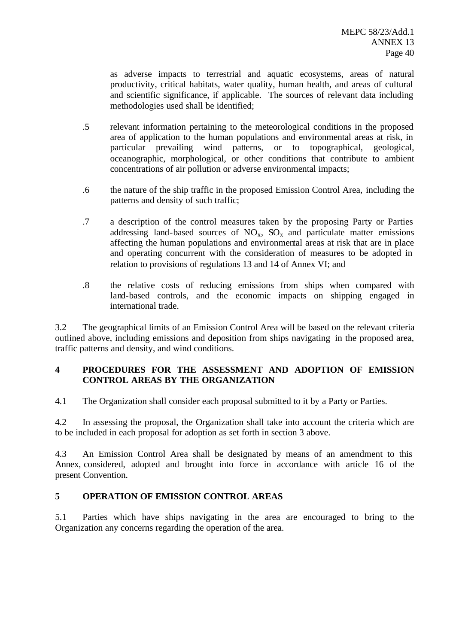as adverse impacts to terrestrial and aquatic ecosystems, areas of natural productivity, critical habitats, water quality, human health, and areas of cultural and scientific significance, if applicable. The sources of relevant data including methodologies used shall be identified;

- .5 relevant information pertaining to the meteorological conditions in the proposed area of application to the human populations and environmental areas at risk, in particular prevailing wind patterns, or to topographical, geological, oceanographic, morphological, or other conditions that contribute to ambient concentrations of air pollution or adverse environmental impacts;
- .6 the nature of the ship traffic in the proposed Emission Control Area, including the patterns and density of such traffic;
- .7 a description of the control measures taken by the proposing Party or Parties addressing land-based sources of  $NO_x$ ,  $SO_x$  and particulate matter emissions affecting the human populations and environmental areas at risk that are in place and operating concurrent with the consideration of measures to be adopted in relation to provisions of regulations 13 and 14 of Annex VI; and
- .8 the relative costs of reducing emissions from ships when compared with land-based controls, and the economic impacts on shipping engaged in international trade.

3.2 The geographical limits of an Emission Control Area will be based on the relevant criteria outlined above, including emissions and deposition from ships navigating in the proposed area, traffic patterns and density, and wind conditions.

# **4 PROCEDURES FOR THE ASSESSMENT AND ADOPTION OF EMISSION CONTROL AREAS BY THE ORGANIZATION**

4.1 The Organization shall consider each proposal submitted to it by a Party or Parties.

4.2 In assessing the proposal, the Organization shall take into account the criteria which are to be included in each proposal for adoption as set forth in section 3 above.

4.3 An Emission Control Area shall be designated by means of an amendment to this Annex, considered, adopted and brought into force in accordance with article 16 of the present Convention.

# **5 OPERATION OF EMISSION CONTROL AREAS**

5.1 Parties which have ships navigating in the area are encouraged to bring to the Organization any concerns regarding the operation of the area.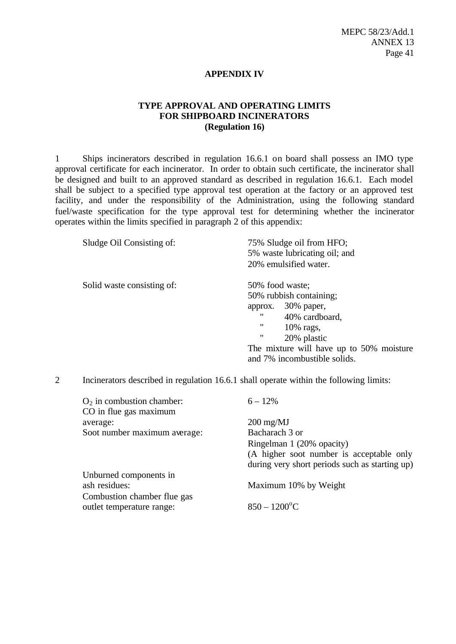#### **APPENDIX IV**

## **TYPE APPROVAL AND OPERATING LIMITS FOR SHIPBOARD INCINERATORS (Regulation 16)**

1 Ships incinerators described in regulation 16.6.1 on board shall possess an IMO type approval certificate for each incinerator. In order to obtain such certificate, the incinerator shall be designed and built to an approved standard as described in regulation 16.6.1. Each model shall be subject to a specified type approval test operation at the factory or an approved test facility, and under the responsibility of the Administration, using the following standard fuel/waste specification for the type approval test for determining whether the incinerator operates within the limits specified in paragraph 2 of this appendix:

| Sludge Oil Consisting of:  | 75% Sludge oil from HFO;<br>5% waste lubricating oil; and<br>20% emulsified water.                                                                                                                            |
|----------------------------|---------------------------------------------------------------------------------------------------------------------------------------------------------------------------------------------------------------|
| Solid waste consisting of: | 50% food waste;<br>50% rubbish containing;<br>approx. 30% paper,<br>"<br>40% cardboard,<br>11<br>$10\%$ rags,<br>"<br>20% plastic<br>The mixture will have up to 50% moisture<br>and 7% incombustible solids. |

2 Incinerators described in regulation 16.6.1 shall operate within the following limits:

| $O2$ in combustion chamber:<br>CO in flue gas maximum | $6 - 12\%$                                                                                 |
|-------------------------------------------------------|--------------------------------------------------------------------------------------------|
| average:                                              | $200 \text{ mg/MJ}$                                                                        |
| Soot number maximum average:                          | Bacharach 3 or                                                                             |
|                                                       | Ringelman 1 (20% opacity)                                                                  |
|                                                       | (A higher soot number is acceptable only<br>during very short periods such as starting up) |
| Unburned components in                                |                                                                                            |
| ash residues:                                         | Maximum 10% by Weight                                                                      |
| Combustion chamber flue gas                           |                                                                                            |
| outlet temperature range:                             | $850 - 1200$ <sup>o</sup> C                                                                |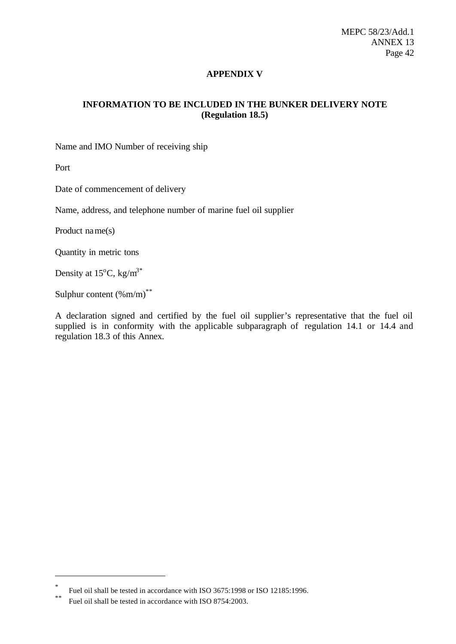## **APPENDIX V**

# **INFORMATION TO BE INCLUDED IN THE BUNKER DELIVERY NOTE (Regulation 18.5)**

Name and IMO Number of receiving ship

Port

l

Date of commencement of delivery

Name, address, and telephone number of marine fuel oil supplier

Product name(s)

Quantity in metric tons

Density at  $15^{\circ}$ C, kg/m<sup>3\*</sup>

Sulphur content (%m/m)<sup>\*\*</sup>

A declaration signed and certified by the fuel oil supplier's representative that the fuel oil supplied is in conformity with the applicable subparagraph of regulation 14.1 or 14.4 and regulation 18.3 of this Annex.

<sup>\*</sup> Fuel oil shall be tested in accordance with ISO 3675:1998 or ISO 12185:1996.

<sup>\*\*</sup> Fuel oil shall be tested in accordance with ISO 8754:2003.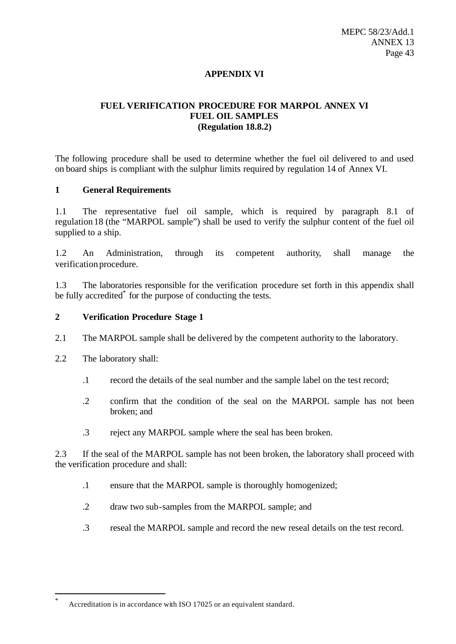## **APPENDIX VI**

# **FUEL VERIFICATION PROCEDURE FOR MARPOL ANNEX VI FUEL OIL SAMPLES (Regulation 18.8.2)**

The following procedure shall be used to determine whether the fuel oil delivered to and used on board ships is compliant with the sulphur limits required by regulation 14 of Annex VI.

#### **1 General Requirements**

1.1 The representative fuel oil sample, which is required by paragraph 8.1 of regulation 18 (the "MARPOL sample") shall be used to verify the sulphur content of the fuel oil supplied to a ship.

1.2 An Administration, through its competent authority, shall manage the verification procedure.

1.3 The laboratories responsible for the verification procedure set forth in this appendix shall be fully accredited<sup>\*</sup> for the purpose of conducting the tests.

#### **2 Verification Procedure Stage 1**

- 2.1 The MARPOL sample shall be delivered by the competent authority to the laboratory.
- 2.2 The laboratory shall:

l

- .1 record the details of the seal number and the sample label on the test record;
- .2 confirm that the condition of the seal on the MARPOL sample has not been broken; and
- .3 reject any MARPOL sample where the seal has been broken.

2.3 If the seal of the MARPOL sample has not been broken, the laboratory shall proceed with the verification procedure and shall:

- .1 ensure that the MARPOL sample is thoroughly homogenized;
- .2 draw two sub-samples from the MARPOL sample; and
- .3 reseal the MARPOL sample and record the new reseal details on the test record.

Accreditation is in accordance with ISO 17025 or an equivalent standard.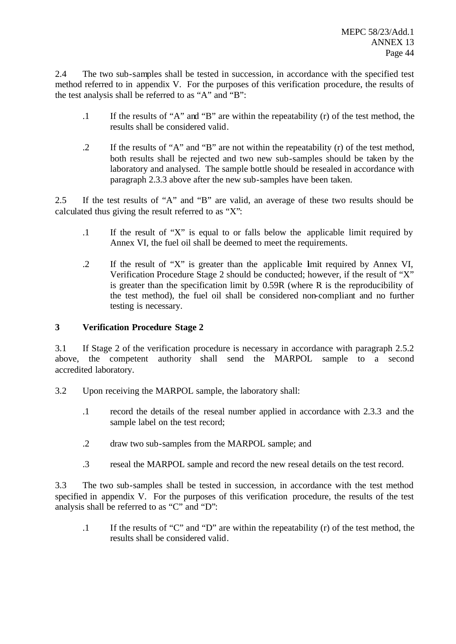2.4 The two sub-samples shall be tested in succession, in accordance with the specified test method referred to in appendix V. For the purposes of this verification procedure, the results of the test analysis shall be referred to as "A" and "B":

- .1 If the results of "A" and "B" are within the repeatability (r) of the test method, the results shall be considered valid.
- .2 If the results of "A" and "B" are not within the repeatability (r) of the test method, both results shall be rejected and two new sub-samples should be taken by the laboratory and analysed. The sample bottle should be resealed in accordance with paragraph 2.3.3 above after the new sub-samples have been taken.

2.5 If the test results of "A" and "B" are valid, an average of these two results should be calculated thus giving the result referred to as "X":

- .1 If the result of "X" is equal to or falls below the applicable limit required by Annex VI, the fuel oil shall be deemed to meet the requirements.
- .2 If the result of "X" is greater than the applicable limit required by Annex VI, Verification Procedure Stage 2 should be conducted; however, if the result of "X" is greater than the specification limit by 0.59R (where R is the reproducibility of the test method), the fuel oil shall be considered non-compliant and no further testing is necessary.

# **3 Verification Procedure Stage 2**

3.1 If Stage 2 of the verification procedure is necessary in accordance with paragraph 2.5.2 above, the competent authority shall send the MARPOL sample to a second accredited laboratory.

- 3.2 Upon receiving the MARPOL sample, the laboratory shall:
	- .1 record the details of the reseal number applied in accordance with 2.3.3 and the sample label on the test record;
	- .2 draw two sub-samples from the MARPOL sample; and
	- .3 reseal the MARPOL sample and record the new reseal details on the test record.

3.3 The two sub-samples shall be tested in succession, in accordance with the test method specified in appendix V. For the purposes of this verification procedure, the results of the test analysis shall be referred to as "C" and "D":

.1 If the results of "C" and "D" are within the repeatability (r) of the test method, the results shall be considered valid.